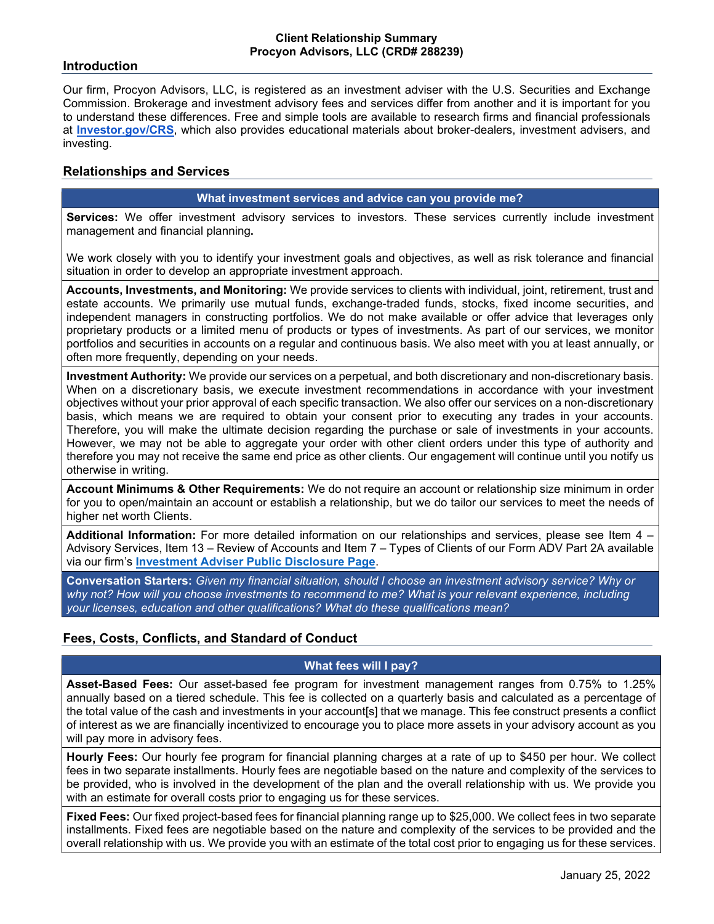# **Introduction**

Our firm, Procyon Advisors, LLC, is registered as an investment adviser with the U.S. Securities and Exchange Commission. Brokerage and investment advisory fees and services differ from another and it is important for you to understand these differences. Free and simple tools are available to research firms and financial professionals at **[Investor.gov/CRS](http://investor.gov/CRS)**, which also provides educational materials about broker-dealers, investment advisers, and investing.

# **Relationships and Services**

#### **What investment services and advice can you provide me?**

**Services:** We offer investment advisory services to investors. These services currently include investment management and financial planning**.**

We work closely with you to identify your investment goals and objectives, as well as risk tolerance and financial situation in order to develop an appropriate investment approach.

**Accounts, Investments, and Monitoring:** We provide services to clients with individual, joint, retirement, trust and estate accounts. We primarily use mutual funds, exchange-traded funds, stocks, fixed income securities, and independent managers in constructing portfolios. We do not make available or offer advice that leverages only proprietary products or a limited menu of products or types of investments. As part of our services, we monitor portfolios and securities in accounts on a regular and continuous basis. We also meet with you at least annually, or often more frequently, depending on your needs.

**Investment Authority:** We provide our services on a perpetual, and both discretionary and non-discretionary basis. When on a discretionary basis, we execute investment recommendations in accordance with your investment objectives without your prior approval of each specific transaction. We also offer our services on a non-discretionary basis, which means we are required to obtain your consent prior to executing any trades in your accounts. Therefore, you will make the ultimate decision regarding the purchase or sale of investments in your accounts. However, we may not be able to aggregate your order with other client orders under this type of authority and therefore you may not receive the same end price as other clients. Our engagement will continue until you notify us otherwise in writing.

**Account Minimums & Other Requirements:** We do not require an account or relationship size minimum in order for you to open/maintain an account or establish a relationship, but we do tailor our services to meet the needs of higher net worth Clients.

**Additional Information:** For more detailed information on our relationships and services, please see Item 4 – Advisory Services, Item 13 – Review of Accounts and Item 7 – Types of Clients of our Form ADV Part 2A available via our firm's **[Investment Adviser Public Disclosure Page](https://adviserinfo.sec.gov/firm/summary/288239)**.

**Conversation Starters:** *Given my financial situation, should I choose an investment advisory service? Why or why not? How will you choose investments to recommend to me? What is your relevant experience, including your licenses, education and other qualifications? What do these qualifications mean?*

# **Fees, Costs, Conflicts, and Standard of Conduct**

# **What fees will I pay?**

**Asset-Based Fees:** Our asset-based fee program for investment management ranges from 0.75% to 1.25% annually based on a tiered schedule. This fee is collected on a quarterly basis and calculated as a percentage of the total value of the cash and investments in your account[s] that we manage. This fee construct presents a conflict of interest as we are financially incentivized to encourage you to place more assets in your advisory account as you will pay more in advisory fees.

**Hourly Fees:** Our hourly fee program for financial planning charges at a rate of up to \$450 per hour. We collect fees in two separate installments. Hourly fees are negotiable based on the nature and complexity of the services to be provided, who is involved in the development of the plan and the overall relationship with us. We provide you with an estimate for overall costs prior to engaging us for these services.

**Fixed Fees:** Our fixed project-based fees for financial planning range up to \$25,000. We collect fees in two separate installments. Fixed fees are negotiable based on the nature and complexity of the services to be provided and the overall relationship with us. We provide you with an estimate of the total cost prior to engaging us for these services.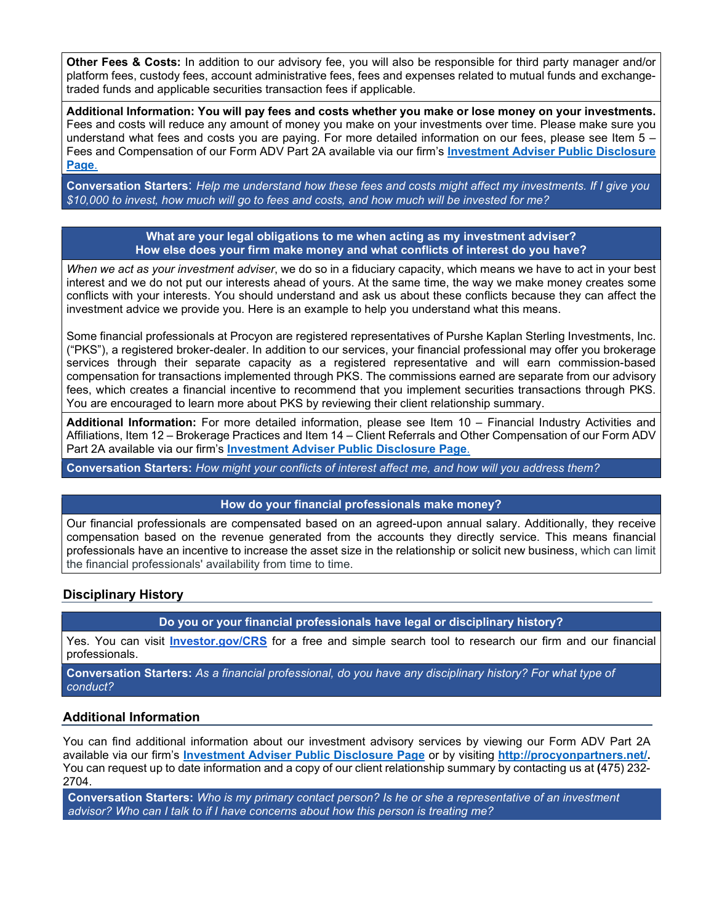**Other Fees & Costs:** In addition to our advisory fee, you will also be responsible for third party manager and/or platform fees, custody fees, account administrative fees, fees and expenses related to mutual funds and exchangetraded funds and applicable securities transaction fees if applicable.

**Additional Information: You will pay fees and costs whether you make or lose money on your investments.**  Fees and costs will reduce any amount of money you make on your investments over time. Please make sure you understand what fees and costs you are paying. For more detailed information on our fees, please see Item 5 – Fees and Compensation of our Form ADV Part 2A available via our firm's **[Investment Adviser Public Disclosure](https://adviserinfo.sec.gov/firm/summary/288239)  [Page](https://adviserinfo.sec.gov/firm/summary/288239)**.

**Conversation Starters**: *Help me understand how these fees and costs might affect my investments. If I give you \$10,000 to invest, how much will go to fees and costs, and how much will be invested for me?*

#### **What are your legal obligations to me when acting as my investment adviser? How else does your firm make money and what conflicts of interest do you have?**

*When we act as your investment adviser*, we do so in a fiduciary capacity, which means we have to act in your best interest and we do not put our interests ahead of yours. At the same time, the way we make money creates some conflicts with your interests. You should understand and ask us about these conflicts because they can affect the investment advice we provide you. Here is an example to help you understand what this means.

Some financial professionals at Procyon are registered representatives of Purshe Kaplan Sterling Investments, Inc. ("PKS"), a registered broker-dealer. In addition to our services, your financial professional may offer you brokerage services through their separate capacity as a registered representative and will earn commission-based compensation for transactions implemented through PKS. The commissions earned are separate from our advisory fees, which creates a financial incentive to recommend that you implement securities transactions through PKS. You are encouraged to learn more about PKS by reviewing their client relationship summary.

**Additional Information:** For more detailed information, please see Item 10 – Financial Industry Activities and Affiliations, Item 12 – Brokerage Practices and Item 14 – Client Referrals and Other Compensation of our Form ADV Part 2A available via our firm's **[Investment Adviser Public Disclosure Page](https://adviserinfo.sec.gov/firm/summary/288239)**.

**Conversation Starters:** *How might your conflicts of interest affect me, and how will you address them?*

# **How do your financial professionals make money?**

Our financial professionals are compensated based on an agreed-upon annual salary. Additionally, they receive compensation based on the revenue generated from the accounts they directly service. This means financial professionals have an incentive to increase the asset size in the relationship or solicit new business, which can limit the financial professionals' availability from time to time.

# **Disciplinary History**

**Do you or your financial professionals have legal or disciplinary history?**

Yes. You can visit **[Investor.gov/CRS](http://investor.gov/CRS)** for a free and simple search tool to research our firm and our financial professionals.

**Conversation Starters:** *As a financial professional, do you have any disciplinary history? For what type of conduct?*

# **Additional Information**

You can find additional information about our investment advisory services by viewing our Form ADV Part 2A available via our firm's **[Investment Adviser Public Disclosure Page](https://adviserinfo.sec.gov/firm/summary/288239)** or by visiting **[http://procyonpartners.net/.](http://procyonpartners.net/)**  You can request up to date information and a copy of our client relationship summary by contacting us at **(**475) 232- 2704.

**Conversation Starters:** *Who is my primary contact person? Is he or she a representative of an investment advisor? Who can I talk to if I have concerns about how this person is treating me?*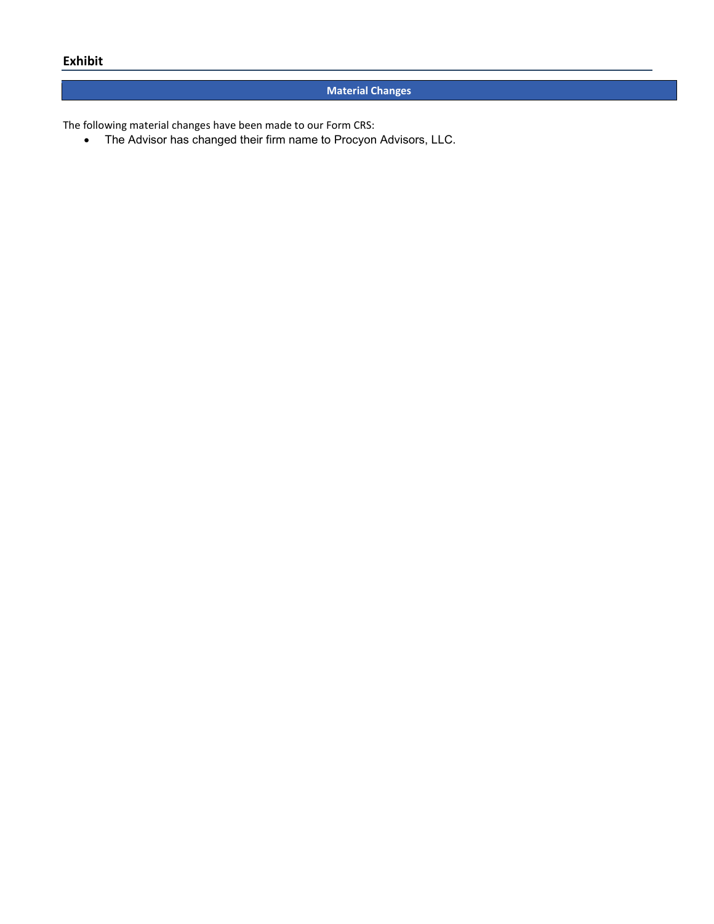# **Material Changes**

The following material changes have been made to our Form CRS:

• The Advisor has changed their firm name to Procyon Advisors, LLC.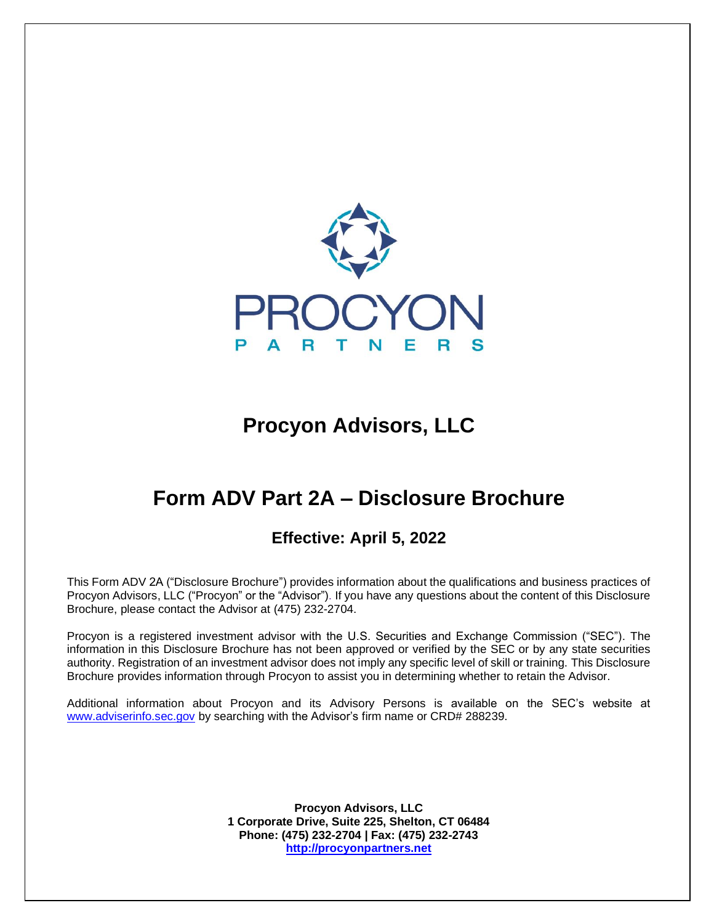

 $\overline{a}$ 

# **Procyon Advisors, LLC**

# **Form ADV Part 2A – Disclosure Brochure**

# **Effective: April 5, 2022**

This Form ADV 2A ("Disclosure Brochure") provides information about the qualifications and business practices of Procyon Advisors, LLC ("Procyon" or the "Advisor"). If you have any questions about the content of this Disclosure Brochure, please contact the Advisor at (475) 232-2704.

Procyon is a registered investment advisor with the U.S. Securities and Exchange Commission ("SEC"). The information in this Disclosure Brochure has not been approved or verified by the SEC or by any state securities authority. Registration of an investment advisor does not imply any specific level of skill or training. This Disclosure Brochure provides information through Procyon to assist you in determining whether to retain the Advisor.

Additional information about Procyon and its Advisory Persons is available on the SEC's website at [www.adviserinfo.sec.gov](http://www.adviserinfo.sec.gov/) by searching with the Advisor's firm name or CRD# 288239.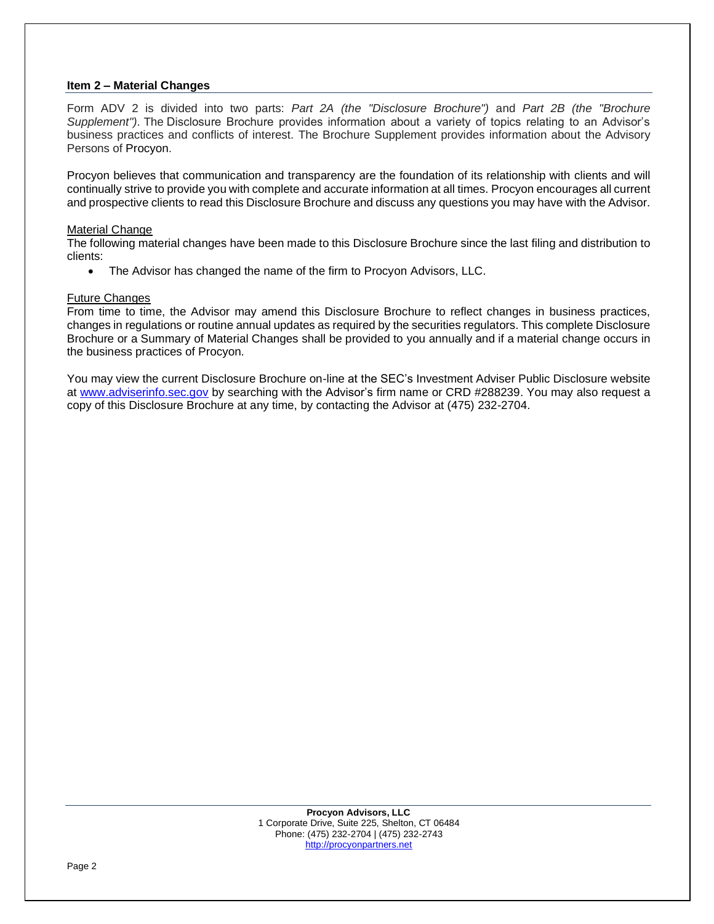#### **Item 2 – Material Changes**

Form ADV 2 is divided into two parts: *Part 2A (the "Disclosure Brochure")* and *Part 2B (the "Brochure Supplement")*. The Disclosure Brochure provides information about a variety of topics relating to an Advisor's business practices and conflicts of interest. The Brochure Supplement provides information about the Advisory Persons of Procyon.

Procyon believes that communication and transparency are the foundation of its relationship with clients and will continually strive to provide you with complete and accurate information at all times. Procyon encourages all current and prospective clients to read this Disclosure Brochure and discuss any questions you may have with the Advisor.

#### Material Change

The following material changes have been made to this Disclosure Brochure since the last filing and distribution to clients:

• The Advisor has changed the name of the firm to Procyon Advisors, LLC.

#### Future Changes

From time to time, the Advisor may amend this Disclosure Brochure to reflect changes in business practices, changes in regulations or routine annual updates as required by the securities regulators. This complete Disclosure Brochure or a Summary of Material Changes shall be provided to you annually and if a material change occurs in the business practices of Procyon.

You may view the current Disclosure Brochure on-line at the SEC's Investment Adviser Public Disclosure website at [www.adviserinfo.sec.gov](http://www.adviserinfo.sec.gov/) by searching with the Advisor's firm name or CRD #288239. You may also request a copy of this Disclosure Brochure at any time, by contacting the Advisor at (475) 232-2704.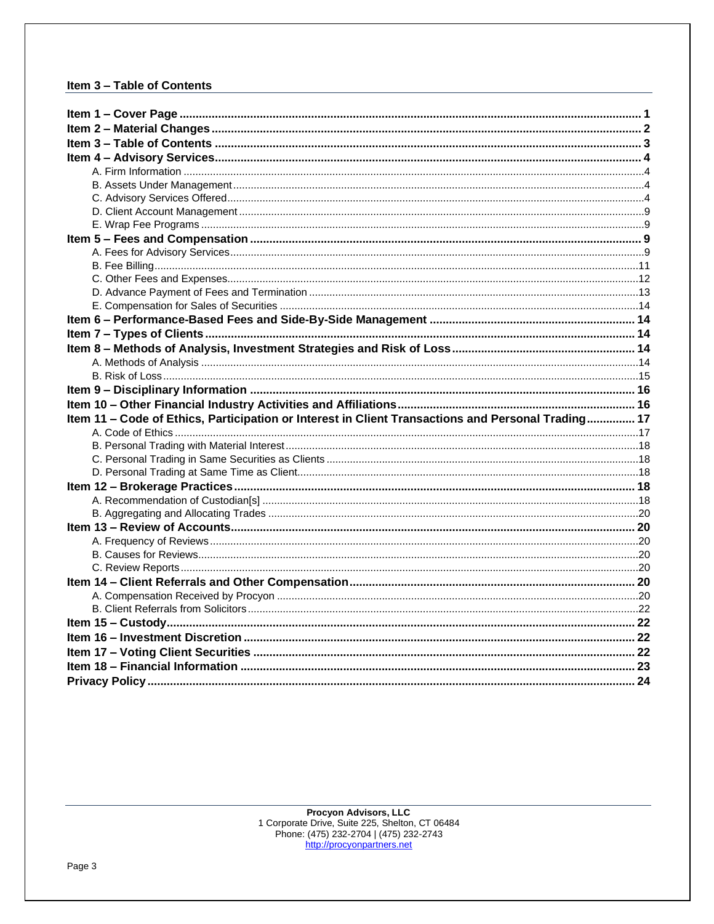# Item 3 - Table of Contents

| Item 11 - Code of Ethics, Participation or Interest in Client Transactions and Personal Trading 17 |  |
|----------------------------------------------------------------------------------------------------|--|
|                                                                                                    |  |
|                                                                                                    |  |
|                                                                                                    |  |
|                                                                                                    |  |
|                                                                                                    |  |
|                                                                                                    |  |
|                                                                                                    |  |
|                                                                                                    |  |
|                                                                                                    |  |
|                                                                                                    |  |
|                                                                                                    |  |
|                                                                                                    |  |
|                                                                                                    |  |
|                                                                                                    |  |
|                                                                                                    |  |
|                                                                                                    |  |
|                                                                                                    |  |
|                                                                                                    |  |
|                                                                                                    |  |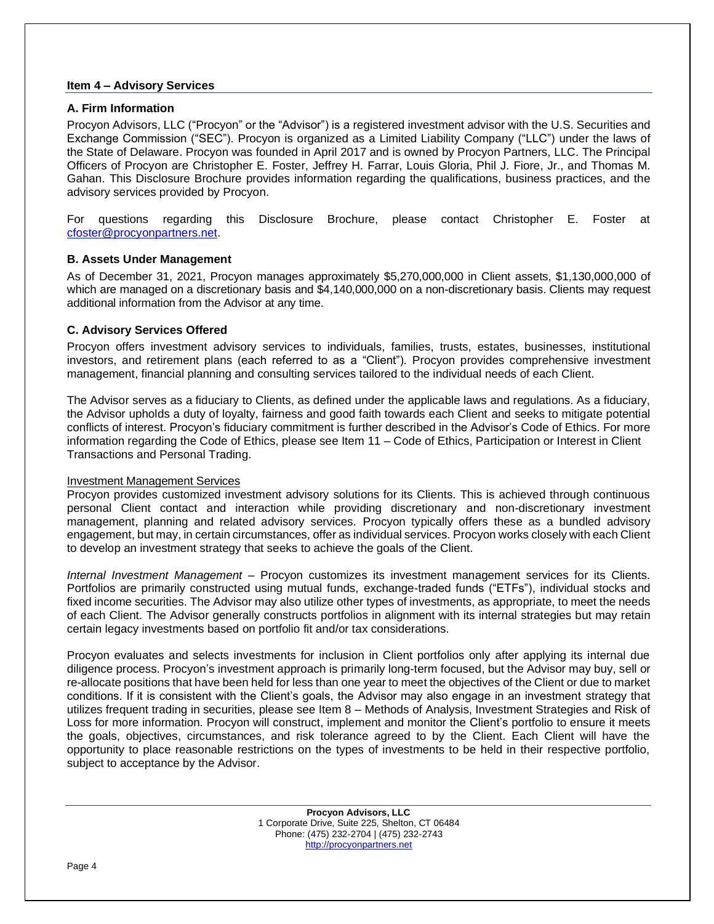#### **Item 4 – Advisory Services**

#### **A. Firm Information**

Procyon Advisors, LLC ("Procyon" or the "Advisor") is a registered investment advisor with the U.S. Securities and Exchange Commission ("SEC"). Procyon is organized as a Limited Liability Company ("LLC") under the laws of the State of Delaware. Procyon was founded in April 2017 and is owned by Procyon Partners, LLC. The Principal Officers of Procyon are Christopher E. Foster, Jeffrey H. Farrar, Louis Gloria, Phil J. Fiore, Jr., and Thomas M. Gahan. This Disclosure Brochure provides information regarding the qualifications, business practices, and the advisory services provided by Procyon.

For questions regarding this Disclosure Brochure, please contact Christopher E. Foster at [cfoster@procyonpartners.net.](mailto:cfoster@procyonpartners.net)

# **B. Assets Under Management**

As of December 31, 2021, Procyon manages approximately \$5,270,000,000 in Client assets, \$1,130,000,000 of which are managed on a discretionary basis and \$4,140,000,000 on a non-discretionary basis. Clients may request additional information from the Advisor at any time.

# **C. Advisory Services Offered**

Procyon offers investment advisory services to individuals, families, trusts, estates, businesses, institutional investors, and retirement plans (each referred to as a "Client"). Procyon provides comprehensive investment management, financial planning and consulting services tailored to the individual needs of each Client.

The Advisor serves as a fiduciary to Clients, as defined under the applicable laws and regulations. As a fiduciary, the Advisor upholds a duty of loyalty, fairness and good faith towards each Client and seeks to mitigate potential conflicts of interest. Procyon's fiduciary commitment is further described in the Advisor's Code of Ethics. For more information regarding the Code of Ethics, please see Item 11 – Code of Ethics, Participation or Interest in Client Transactions and Personal Trading.

# Investment Management Services

Procyon provides customized investment advisory solutions for its Clients. This is achieved through continuous personal Client contact and interaction while providing discretionary and non-discretionary investment management, planning and related advisory services. Procyon typically offers these as a bundled advisory engagement, but may, in certain circumstances, offer as individual services. Procyon works closely with each Client to develop an investment strategy that seeks to achieve the goals of the Client.

*Internal Investment Management* – Procyon customizes its investment management services for its Clients. Portfolios are primarily constructed using mutual funds, exchange-traded funds ("ETFs"), individual stocks and fixed income securities. The Advisor may also utilize other types of investments, as appropriate, to meet the needs of each Client. The Advisor generally constructs portfolios in alignment with its internal strategies but may retain certain legacy investments based on portfolio fit and/or tax considerations.

Procyon evaluates and selects investments for inclusion in Client portfolios only after applying its internal due diligence process. Procyon's investment approach is primarily long-term focused, but the Advisor may buy, sell or re-allocate positions that have been held for less than one year to meet the objectives of the Client or due to market conditions. If it is consistent with the Client's goals, the Advisor may also engage in an investment strategy that utilizes frequent trading in securities, please see Item 8 – Methods of Analysis, Investment Strategies and Risk of Loss for more information. Procyon will construct, implement and monitor the Client's portfolio to ensure it meets the goals, objectives, circumstances, and risk tolerance agreed to by the Client. Each Client will have the opportunity to place reasonable restrictions on the types of investments to be held in their respective portfolio, subject to acceptance by the Advisor.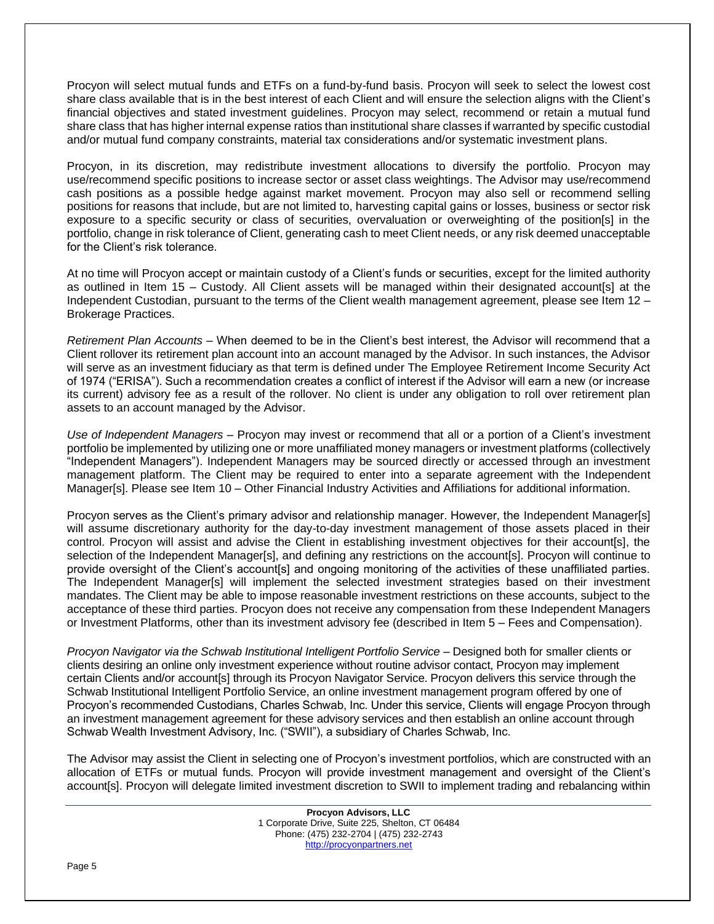Procyon will select mutual funds and ETFs on a fund-by-fund basis. Procyon will seek to select the lowest cost share class available that is in the best interest of each Client and will ensure the selection aligns with the Client's financial objectives and stated investment guidelines. Procyon may select, recommend or retain a mutual fund share class that has higher internal expense ratios than institutional share classes if warranted by specific custodial and/or mutual fund company constraints, material tax considerations and/or systematic investment plans.

Procyon, in its discretion, may redistribute investment allocations to diversify the portfolio. Procyon may use/recommend specific positions to increase sector or asset class weightings. The Advisor may use/recommend cash positions as a possible hedge against market movement. Procyon may also sell or recommend selling positions for reasons that include, but are not limited to, harvesting capital gains or losses, business or sector risk exposure to a specific security or class of securities, overvaluation or overweighting of the position[s] in the portfolio, change in risk tolerance of Client, generating cash to meet Client needs, or any risk deemed unacceptable for the Client's risk tolerance.

At no time will Procyon accept or maintain custody of a Client's funds or securities, except for the limited authority as outlined in Item 15 – Custody. All Client assets will be managed within their designated account[s] at the Independent Custodian, pursuant to the terms of the Client wealth management agreement, please see Item 12 – Brokerage Practices.

*Retirement Plan Accounts* – When deemed to be in the Client's best interest, the Advisor will recommend that a Client rollover its retirement plan account into an account managed by the Advisor. In such instances, the Advisor will serve as an investment fiduciary as that term is defined under The Employee Retirement Income Security Act of 1974 ("ERISA"). Such a recommendation creates a conflict of interest if the Advisor will earn a new (or increase its current) advisory fee as a result of the rollover. No client is under any obligation to roll over retirement plan assets to an account managed by the Advisor.

*Use of Independent Managers* – Procyon may invest or recommend that all or a portion of a Client's investment portfolio be implemented by utilizing one or more unaffiliated money managers or investment platforms (collectively "Independent Managers"). Independent Managers may be sourced directly or accessed through an investment management platform. The Client may be required to enter into a separate agreement with the Independent Manager[s]. Please see Item 10 – Other Financial Industry Activities and Affiliations for additional information.

Procyon serves as the Client's primary advisor and relationship manager. However, the Independent Manager[s] will assume discretionary authority for the day-to-day investment management of those assets placed in their control. Procyon will assist and advise the Client in establishing investment objectives for their account[s], the selection of the Independent Manager[s], and defining any restrictions on the account[s]. Procyon will continue to provide oversight of the Client's account[s] and ongoing monitoring of the activities of these unaffiliated parties. The Independent Manager[s] will implement the selected investment strategies based on their investment mandates. The Client may be able to impose reasonable investment restrictions on these accounts, subject to the acceptance of these third parties. Procyon does not receive any compensation from these Independent Managers or Investment Platforms, other than its investment advisory fee (described in Item 5 – Fees and Compensation).

*Procyon Navigator via the Schwab Institutional Intelligent Portfolio Service –* Designed both for smaller clients or clients desiring an online only investment experience without routine advisor contact, Procyon may implement certain Clients and/or account[s] through its Procyon Navigator Service. Procyon delivers this service through the Schwab Institutional Intelligent Portfolio Service, an online investment management program offered by one of Procyon's recommended Custodians, Charles Schwab, Inc. Under this service, Clients will engage Procyon through an investment management agreement for these advisory services and then establish an online account through Schwab Wealth Investment Advisory, Inc. ("SWII"), a subsidiary of Charles Schwab, Inc.

The Advisor may assist the Client in selecting one of Procyon's investment portfolios, which are constructed with an allocation of ETFs or mutual funds. Procyon will provide investment management and oversight of the Client's account[s]. Procyon will delegate limited investment discretion to SWII to implement trading and rebalancing within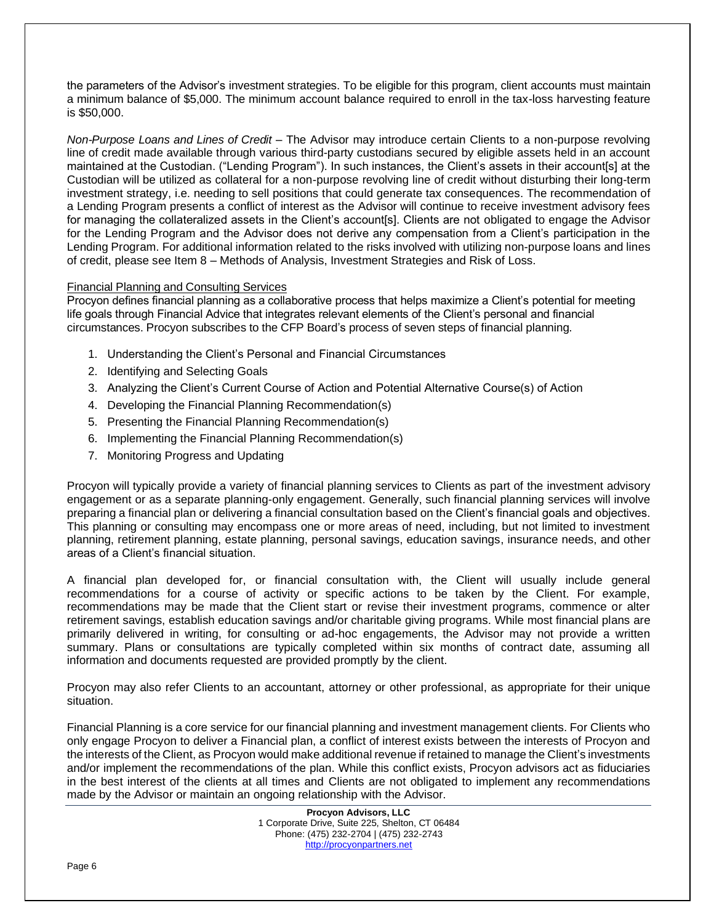the parameters of the Advisor's investment strategies. To be eligible for this program, client accounts must maintain a minimum balance of \$5,000. The minimum account balance required to enroll in the tax-loss harvesting feature is \$50,000.

*Non-Purpose Loans and Lines of Credit –* The Advisor may introduce certain Clients to a non-purpose revolving line of credit made available through various third-party custodians secured by eligible assets held in an account maintained at the Custodian. ("Lending Program"). In such instances, the Client's assets in their account[s] at the Custodian will be utilized as collateral for a non-purpose revolving line of credit without disturbing their long-term investment strategy, i.e. needing to sell positions that could generate tax consequences. The recommendation of a Lending Program presents a conflict of interest as the Advisor will continue to receive investment advisory fees for managing the collateralized assets in the Client's account[s]. Clients are not obligated to engage the Advisor for the Lending Program and the Advisor does not derive any compensation from a Client's participation in the Lending Program. For additional information related to the risks involved with utilizing non-purpose loans and lines of credit, please see Item 8 – Methods of Analysis, Investment Strategies and Risk of Loss.

# Financial Planning and Consulting Services

Procyon defines financial planning as a collaborative process that helps maximize a Client's potential for meeting life goals through Financial Advice that integrates relevant elements of the Client's personal and financial circumstances. Procyon subscribes to the CFP Board's process of seven steps of financial planning.

- 1. Understanding the Client's Personal and Financial Circumstances
- 2. Identifying and Selecting Goals
- 3. Analyzing the Client's Current Course of Action and Potential Alternative Course(s) of Action
- 4. Developing the Financial Planning Recommendation(s)
- 5. Presenting the Financial Planning Recommendation(s)
- 6. Implementing the Financial Planning Recommendation(s)
- 7. Monitoring Progress and Updating

Procyon will typically provide a variety of financial planning services to Clients as part of the investment advisory engagement or as a separate planning-only engagement. Generally, such financial planning services will involve preparing a financial plan or delivering a financial consultation based on the Client's financial goals and objectives. This planning or consulting may encompass one or more areas of need, including, but not limited to investment planning, retirement planning, estate planning, personal savings, education savings, insurance needs, and other areas of a Client's financial situation.

A financial plan developed for, or financial consultation with, the Client will usually include general recommendations for a course of activity or specific actions to be taken by the Client. For example, recommendations may be made that the Client start or revise their investment programs, commence or alter retirement savings, establish education savings and/or charitable giving programs. While most financial plans are primarily delivered in writing, for consulting or ad-hoc engagements, the Advisor may not provide a written summary. Plans or consultations are typically completed within six months of contract date, assuming all information and documents requested are provided promptly by the client.

Procyon may also refer Clients to an accountant, attorney or other professional, as appropriate for their unique situation.

Financial Planning is a core service for our financial planning and investment management clients. For Clients who only engage Procyon to deliver a Financial plan, a conflict of interest exists between the interests of Procyon and the interests of the Client, as Procyon would make additional revenue if retained to manage the Client's investments and/or implement the recommendations of the plan. While this conflict exists, Procyon advisors act as fiduciaries in the best interest of the clients at all times and Clients are not obligated to implement any recommendations made by the Advisor or maintain an ongoing relationship with the Advisor.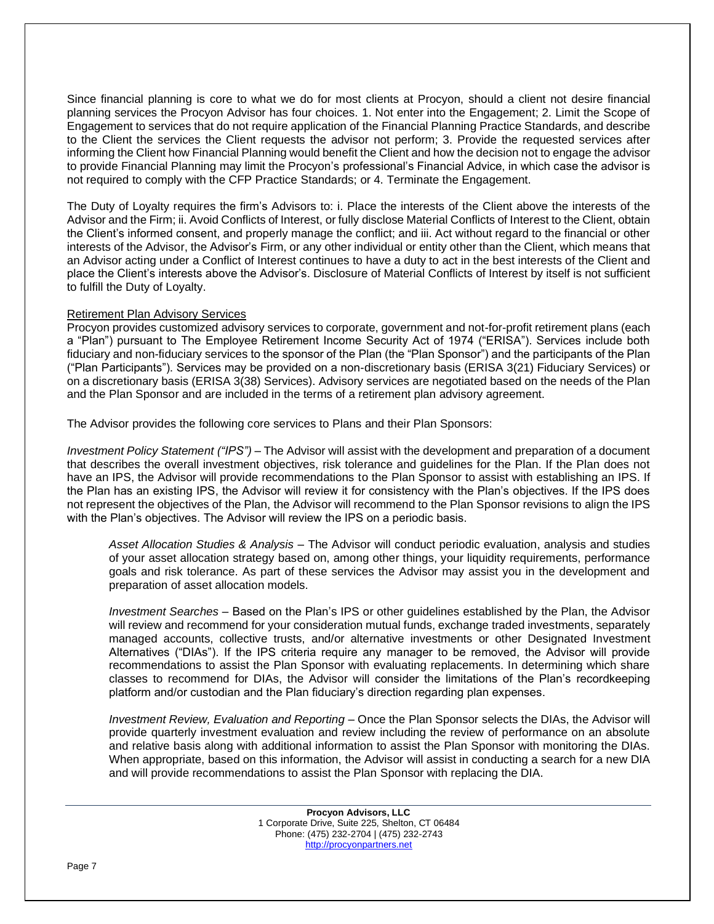Since financial planning is core to what we do for most clients at Procyon, should a client not desire financial planning services the Procyon Advisor has four choices. 1. Not enter into the Engagement; 2. Limit the Scope of Engagement to services that do not require application of the Financial Planning Practice Standards, and describe to the Client the services the Client requests the advisor not perform; 3. Provide the requested services after informing the Client how Financial Planning would benefit the Client and how the decision not to engage the advisor to provide Financial Planning may limit the Procyon's professional's Financial Advice, in which case the advisor is not required to comply with the CFP Practice Standards; or 4. Terminate the Engagement.

The Duty of Loyalty requires the firm's Advisors to: i. Place the interests of the Client above the interests of the Advisor and the Firm; ii. Avoid Conflicts of Interest, or fully disclose Material Conflicts of Interest to the Client, obtain the Client's informed consent, and properly manage the conflict; and iii. Act without regard to the financial or other interests of the Advisor, the Advisor's Firm, or any other individual or entity other than the Client, which means that an Advisor acting under a Conflict of Interest continues to have a duty to act in the best interests of the Client and place the Client's interests above the Advisor's. Disclosure of Material Conflicts of Interest by itself is not sufficient to fulfill the Duty of Loyalty.

# Retirement Plan Advisory Services

Procyon provides customized advisory services to corporate, government and not-for-profit retirement plans (each a "Plan") pursuant to The Employee Retirement Income Security Act of 1974 ("ERISA"). Services include both fiduciary and non-fiduciary services to the sponsor of the Plan (the "Plan Sponsor") and the participants of the Plan ("Plan Participants"). Services may be provided on a non-discretionary basis (ERISA 3(21) Fiduciary Services) or on a discretionary basis (ERISA 3(38) Services). Advisory services are negotiated based on the needs of the Plan and the Plan Sponsor and are included in the terms of a retirement plan advisory agreement.

The Advisor provides the following core services to Plans and their Plan Sponsors:

*Investment Policy Statement ("IPS")* – The Advisor will assist with the development and preparation of a document that describes the overall investment objectives, risk tolerance and guidelines for the Plan. If the Plan does not have an IPS, the Advisor will provide recommendations to the Plan Sponsor to assist with establishing an IPS. If the Plan has an existing IPS, the Advisor will review it for consistency with the Plan's objectives. If the IPS does not represent the objectives of the Plan, the Advisor will recommend to the Plan Sponsor revisions to align the IPS with the Plan's objectives. The Advisor will review the IPS on a periodic basis.

*Asset Allocation Studies & Analysis* – The Advisor will conduct periodic evaluation, analysis and studies of your asset allocation strategy based on, among other things, your liquidity requirements, performance goals and risk tolerance. As part of these services the Advisor may assist you in the development and preparation of asset allocation models.

*Investment Searches* – Based on the Plan's IPS or other guidelines established by the Plan, the Advisor will review and recommend for your consideration mutual funds, exchange traded investments, separately managed accounts, collective trusts, and/or alternative investments or other Designated Investment Alternatives ("DIAs"). If the IPS criteria require any manager to be removed, the Advisor will provide recommendations to assist the Plan Sponsor with evaluating replacements. In determining which share classes to recommend for DIAs, the Advisor will consider the limitations of the Plan's recordkeeping platform and/or custodian and the Plan fiduciary's direction regarding plan expenses.

*Investment Review, Evaluation and Reporting* – Once the Plan Sponsor selects the DIAs, the Advisor will provide quarterly investment evaluation and review including the review of performance on an absolute and relative basis along with additional information to assist the Plan Sponsor with monitoring the DIAs. When appropriate, based on this information, the Advisor will assist in conducting a search for a new DIA and will provide recommendations to assist the Plan Sponsor with replacing the DIA.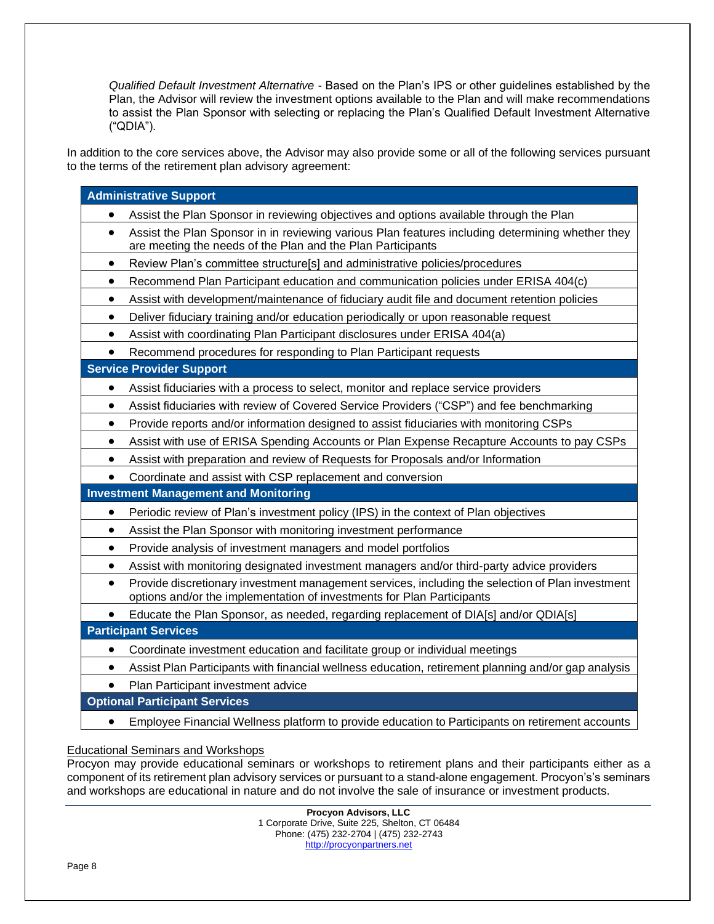*Qualified Default Investment Alternative* - Based on the Plan's IPS or other guidelines established by the Plan, the Advisor will review the investment options available to the Plan and will make recommendations to assist the Plan Sponsor with selecting or replacing the Plan's Qualified Default Investment Alternative ("QDIA").

In addition to the core services above, the Advisor may also provide some or all of the following services pursuant to the terms of the retirement plan advisory agreement:

| <b>Administrative Support</b>                                                                                                                                                           |
|-----------------------------------------------------------------------------------------------------------------------------------------------------------------------------------------|
| Assist the Plan Sponsor in reviewing objectives and options available through the Plan                                                                                                  |
| Assist the Plan Sponsor in in reviewing various Plan features including determining whether they<br>$\bullet$<br>are meeting the needs of the Plan and the Plan Participants            |
| Review Plan's committee structure[s] and administrative policies/procedures<br>$\bullet$                                                                                                |
| Recommend Plan Participant education and communication policies under ERISA 404(c)<br>$\bullet$                                                                                         |
| Assist with development/maintenance of fiduciary audit file and document retention policies<br>$\bullet$                                                                                |
| Deliver fiduciary training and/or education periodically or upon reasonable request<br>$\bullet$                                                                                        |
| Assist with coordinating Plan Participant disclosures under ERISA 404(a)                                                                                                                |
| Recommend procedures for responding to Plan Participant requests<br>$\bullet$                                                                                                           |
| <b>Service Provider Support</b>                                                                                                                                                         |
| Assist fiduciaries with a process to select, monitor and replace service providers                                                                                                      |
| Assist fiduciaries with review of Covered Service Providers ("CSP") and fee benchmarking<br>٠                                                                                           |
| Provide reports and/or information designed to assist fiduciaries with monitoring CSPs<br>$\bullet$                                                                                     |
| Assist with use of ERISA Spending Accounts or Plan Expense Recapture Accounts to pay CSPs<br>$\bullet$                                                                                  |
| Assist with preparation and review of Requests for Proposals and/or Information<br>$\bullet$                                                                                            |
| Coordinate and assist with CSP replacement and conversion<br>$\bullet$                                                                                                                  |
| <b>Investment Management and Monitoring</b>                                                                                                                                             |
| Periodic review of Plan's investment policy (IPS) in the context of Plan objectives<br>$\bullet$                                                                                        |
| Assist the Plan Sponsor with monitoring investment performance<br>$\bullet$                                                                                                             |
| Provide analysis of investment managers and model portfolios<br>٠                                                                                                                       |
| Assist with monitoring designated investment managers and/or third-party advice providers<br>$\bullet$                                                                                  |
| Provide discretionary investment management services, including the selection of Plan investment<br>$\bullet$<br>options and/or the implementation of investments for Plan Participants |
| Educate the Plan Sponsor, as needed, regarding replacement of DIA[s] and/or QDIA[s]                                                                                                     |
| <b>Participant Services</b>                                                                                                                                                             |
| Coordinate investment education and facilitate group or individual meetings<br>$\bullet$                                                                                                |
| Assist Plan Participants with financial wellness education, retirement planning and/or gap analysis<br>$\bullet$                                                                        |
| Plan Participant investment advice                                                                                                                                                      |
| <b>Optional Participant Services</b>                                                                                                                                                    |

• Employee Financial Wellness platform to provide education to Participants on retirement accounts

# Educational Seminars and Workshops

Procyon may provide educational seminars or workshops to retirement plans and their participants either as a component of its retirement plan advisory services or pursuant to a stand-alone engagement. Procyon's's seminars and workshops are educational in nature and do not involve the sale of insurance or investment products.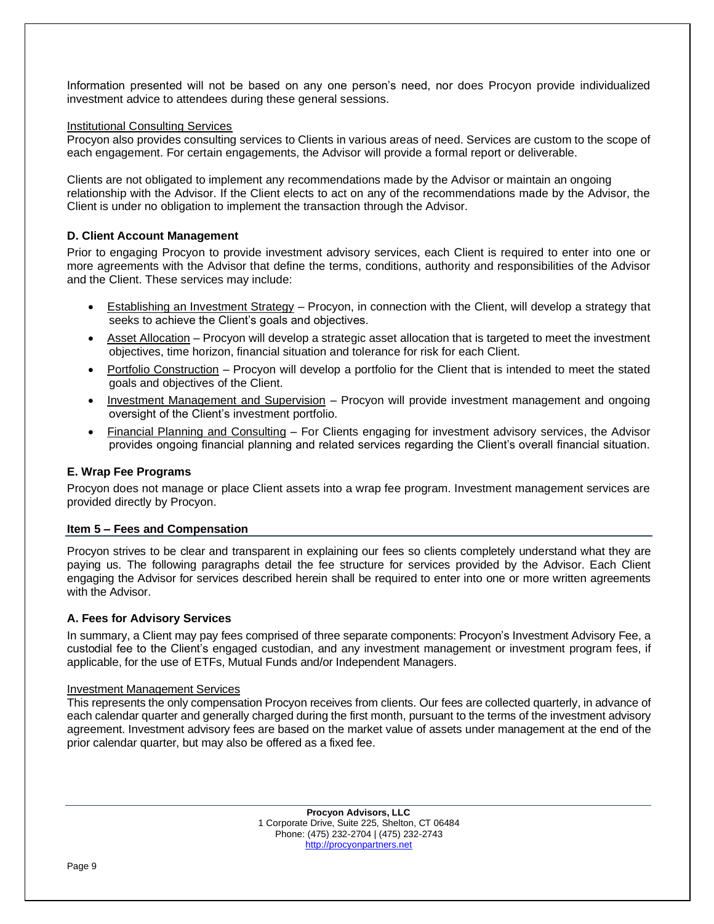Information presented will not be based on any one person's need, nor does Procyon provide individualized investment advice to attendees during these general sessions.

#### Institutional Consulting Services

Procyon also provides consulting services to Clients in various areas of need. Services are custom to the scope of each engagement. For certain engagements, the Advisor will provide a formal report or deliverable.

Clients are not obligated to implement any recommendations made by the Advisor or maintain an ongoing relationship with the Advisor. If the Client elects to act on any of the recommendations made by the Advisor, the Client is under no obligation to implement the transaction through the Advisor.

# **D. Client Account Management**

Prior to engaging Procyon to provide investment advisory services, each Client is required to enter into one or more agreements with the Advisor that define the terms, conditions, authority and responsibilities of the Advisor and the Client. These services may include:

- Establishing an Investment Strategy Procyon, in connection with the Client, will develop a strategy that seeks to achieve the Client's goals and objectives.
- Asset Allocation Procyon will develop a strategic asset allocation that is targeted to meet the investment objectives, time horizon, financial situation and tolerance for risk for each Client.
- Portfolio Construction Procyon will develop a portfolio for the Client that is intended to meet the stated goals and objectives of the Client.
- Investment Management and Supervision Procyon will provide investment management and ongoing oversight of the Client's investment portfolio.
- Financial Planning and Consulting For Clients engaging for investment advisory services, the Advisor provides ongoing financial planning and related services regarding the Client's overall financial situation.

# **E. Wrap Fee Programs**

Procyon does not manage or place Client assets into a wrap fee program. Investment management services are provided directly by Procyon.

#### **Item 5 – Fees and Compensation**

Procyon strives to be clear and transparent in explaining our fees so clients completely understand what they are paying us. The following paragraphs detail the fee structure for services provided by the Advisor. Each Client engaging the Advisor for services described herein shall be required to enter into one or more written agreements with the Advisor.

# **A. Fees for Advisory Services**

In summary, a Client may pay fees comprised of three separate components: Procyon's Investment Advisory Fee, a custodial fee to the Client's engaged custodian, and any investment management or investment program fees, if applicable, for the use of ETFs, Mutual Funds and/or Independent Managers.

#### Investment Management Services

This represents the only compensation Procyon receives from clients. Our fees are collected quarterly, in advance of each calendar quarter and generally charged during the first month, pursuant to the terms of the investment advisory agreement. Investment advisory fees are based on the market value of assets under management at the end of the prior calendar quarter, but may also be offered as a fixed fee.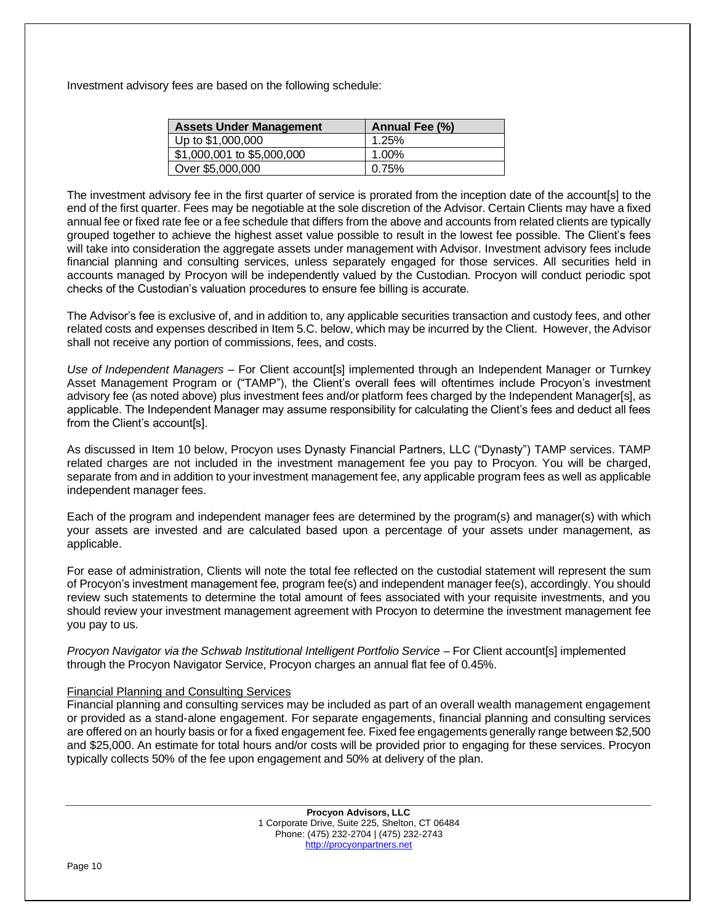Investment advisory fees are based on the following schedule:

| <b>Assets Under Management</b> | Annual Fee (%) |  |
|--------------------------------|----------------|--|
| Up to \$1,000,000              | 1.25%          |  |
| \$1,000,001 to \$5,000,000     | 1.00%          |  |
| Over \$5,000,000               | 0.75%          |  |

The investment advisory fee in the first quarter of service is prorated from the inception date of the account[s] to the end of the first quarter. Fees may be negotiable at the sole discretion of the Advisor. Certain Clients may have a fixed annual fee or fixed rate fee or a fee schedule that differs from the above and accounts from related clients are typically grouped together to achieve the highest asset value possible to result in the lowest fee possible. The Client's fees will take into consideration the aggregate assets under management with Advisor. Investment advisory fees include financial planning and consulting services, unless separately engaged for those services. All securities held in accounts managed by Procyon will be independently valued by the Custodian. Procyon will conduct periodic spot checks of the Custodian's valuation procedures to ensure fee billing is accurate.

The Advisor's fee is exclusive of, and in addition to, any applicable securities transaction and custody fees, and other related costs and expenses described in Item 5.C. below, which may be incurred by the Client. However, the Advisor shall not receive any portion of commissions, fees, and costs.

*Use of Independent Managers* – For Client account[s] implemented through an Independent Manager or Turnkey Asset Management Program or ("TAMP"), the Client's overall fees will oftentimes include Procyon's investment advisory fee (as noted above) plus investment fees and/or platform fees charged by the Independent Manager[s], as applicable. The Independent Manager may assume responsibility for calculating the Client's fees and deduct all fees from the Client's account[s].

As discussed in Item 10 below, Procyon uses Dynasty Financial Partners, LLC ("Dynasty") TAMP services. TAMP related charges are not included in the investment management fee you pay to Procyon. You will be charged, separate from and in addition to your investment management fee, any applicable program fees as well as applicable independent manager fees.

Each of the program and independent manager fees are determined by the program(s) and manager(s) with which your assets are invested and are calculated based upon a percentage of your assets under management, as applicable.

For ease of administration, Clients will note the total fee reflected on the custodial statement will represent the sum of Procyon's investment management fee, program fee(s) and independent manager fee(s), accordingly. You should review such statements to determine the total amount of fees associated with your requisite investments, and you should review your investment management agreement with Procyon to determine the investment management fee you pay to us.

*Procyon Navigator via the Schwab Institutional Intelligent Portfolio Service* – For Client account[s] implemented through the Procyon Navigator Service, Procyon charges an annual flat fee of 0.45%.

#### Financial Planning and Consulting Services

Financial planning and consulting services may be included as part of an overall wealth management engagement or provided as a stand-alone engagement. For separate engagements, financial planning and consulting services are offered on an hourly basis or fora fixed engagement fee. Fixed fee engagements generally range between \$2,500 and \$25,000. An estimate for total hours and/or costs will be provided prior to engaging for these services. Procyon typically collects 50% of the fee upon engagement and 50% at delivery of the plan.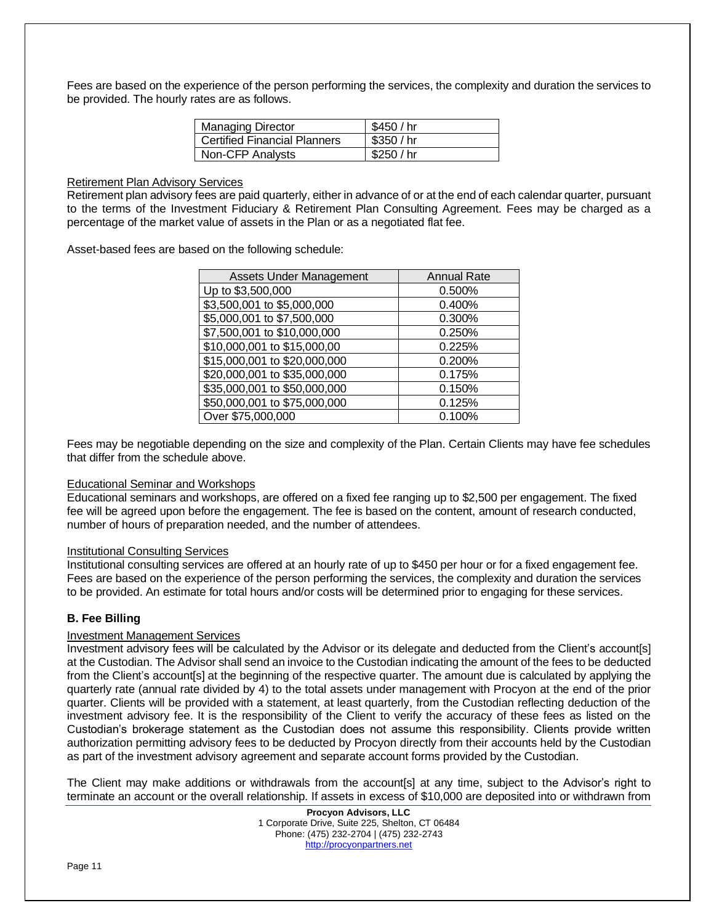Fees are based on the experience of the person performing the services, the complexity and duration the services to be provided. The hourly rates are as follows.

| <b>Managing Director</b>            | \$450 / hr |
|-------------------------------------|------------|
| <b>Certified Financial Planners</b> | \$350/hr   |
| Non-CFP Analysts                    | \$250 / hr |

#### Retirement Plan Advisory Services

Retirement plan advisory fees are paid quarterly, either in advance of or at the end of each calendar quarter, pursuant to the terms of the Investment Fiduciary & Retirement Plan Consulting Agreement. Fees may be charged as a percentage of the market value of assets in the Plan or as a negotiated flat fee.

Asset-based fees are based on the following schedule:

| <b>Assets Under Management</b> | <b>Annual Rate</b> |  |
|--------------------------------|--------------------|--|
| Up to \$3,500,000              | 0.500%             |  |
| \$3,500,001 to \$5,000,000     | 0.400%             |  |
| \$5,000,001 to \$7,500,000     | 0.300%             |  |
| \$7,500,001 to \$10,000,000    | 0.250%             |  |
| \$10,000,001 to \$15,000,00    | 0.225%             |  |
| \$15,000,001 to \$20,000,000   | 0.200%             |  |
| \$20,000,001 to \$35,000,000   | 0.175%             |  |
| \$35,000,001 to \$50,000,000   | 0.150%             |  |
| \$50,000,001 to \$75,000,000   | 0.125%             |  |
| Over \$75,000,000              | 0.100%             |  |

Fees may be negotiable depending on the size and complexity of the Plan. Certain Clients may have fee schedules that differ from the schedule above.

#### Educational Seminar and Workshops

Educational seminars and workshops, are offered on a fixed fee ranging up to \$2,500 per engagement. The fixed fee will be agreed upon before the engagement. The fee is based on the content, amount of research conducted, number of hours of preparation needed, and the number of attendees.

#### Institutional Consulting Services

Institutional consulting services are offered at an hourly rate of up to \$450 per hour or for a fixed engagement fee. Fees are based on the experience of the person performing the services, the complexity and duration the services to be provided. An estimate for total hours and/or costs will be determined prior to engaging for these services.

# **B. Fee Billing**

# Investment Management Services

Investment advisory fees will be calculated by the Advisor or its delegate and deducted from the Client's account[s] at the Custodian. The Advisor shall send an invoice to the Custodian indicating the amount of the fees to be deducted from the Client's account[s] at the beginning of the respective quarter. The amount due is calculated by applying the quarterly rate (annual rate divided by 4) to the total assets under management with Procyon at the end of the prior quarter. Clients will be provided with a statement, at least quarterly, from the Custodian reflecting deduction of the investment advisory fee. It is the responsibility of the Client to verify the accuracy of these fees as listed on the Custodian's brokerage statement as the Custodian does not assume this responsibility. Clients provide written authorization permitting advisory fees to be deducted by Procyon directly from their accounts held by the Custodian as part of the investment advisory agreement and separate account forms provided by the Custodian.

The Client may make additions or withdrawals from the account[s] at any time, subject to the Advisor's right to terminate an account or the overall relationship. If assets in excess of \$10,000 are deposited into or withdrawn from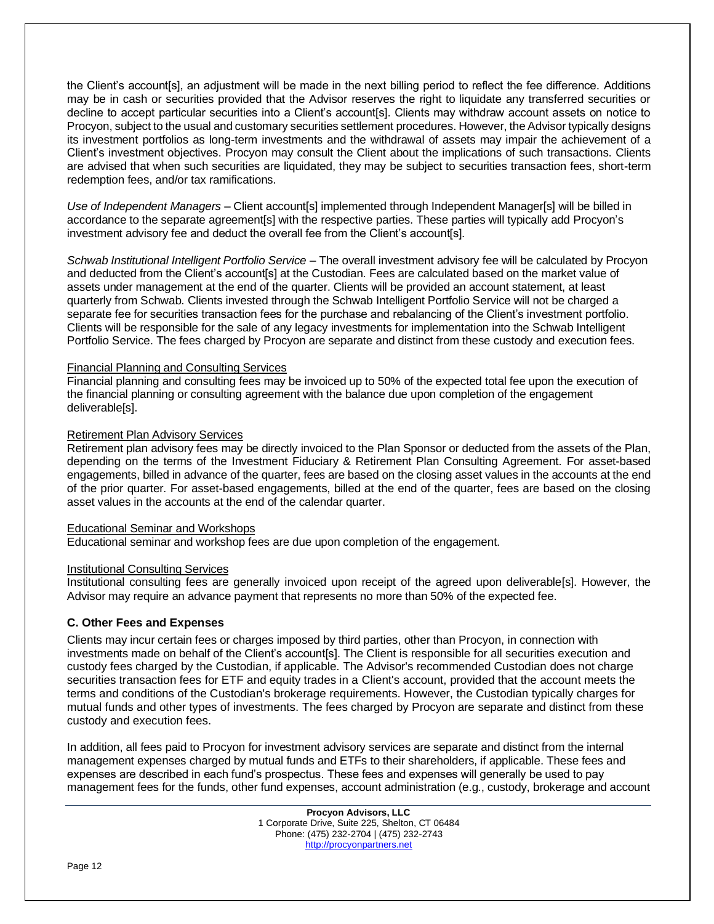the Client's account[s], an adjustment will be made in the next billing period to reflect the fee difference. Additions may be in cash or securities provided that the Advisor reserves the right to liquidate any transferred securities or decline to accept particular securities into a Client's account[s]. Clients may withdraw account assets on notice to Procyon, subject to the usual and customary securities settlement procedures. However, the Advisor typically designs its investment portfolios as long-term investments and the withdrawal of assets may impair the achievement of a Client's investment objectives. Procyon may consult the Client about the implications of such transactions. Clients are advised that when such securities are liquidated, they may be subject to securities transaction fees, short-term redemption fees, and/or tax ramifications.

*Use of Independent Managers –* Client account[s] implemented through Independent Manager[s] will be billed in accordance to the separate agreement[s] with the respective parties. These parties will typically add Procyon's investment advisory fee and deduct the overall fee from the Client's account[s].

*Schwab Institutional Intelligent Portfolio Service* – The overall investment advisory fee will be calculated by Procyon and deducted from the Client's account[s] at the Custodian. Fees are calculated based on the market value of assets under management at the end of the quarter. Clients will be provided an account statement, at least quarterly from Schwab. Clients invested through the Schwab Intelligent Portfolio Service will not be charged a separate fee for securities transaction fees for the purchase and rebalancing of the Client's investment portfolio. Clients will be responsible for the sale of any legacy investments for implementation into the Schwab Intelligent Portfolio Service. The fees charged by Procyon are separate and distinct from these custody and execution fees.

# Financial Planning and Consulting Services

Financial planning and consulting fees may be invoiced up to 50% of the expected total fee upon the execution of the financial planning or consulting agreement with the balance due upon completion of the engagement deliverable[s].

#### Retirement Plan Advisory Services

Retirement plan advisory fees may be directly invoiced to the Plan Sponsor or deducted from the assets of the Plan, depending on the terms of the Investment Fiduciary & Retirement Plan Consulting Agreement. For asset-based engagements, billed in advance of the quarter, fees are based on the closing asset values in the accounts at the end of the prior quarter. For asset-based engagements, billed at the end of the quarter, fees are based on the closing asset values in the accounts at the end of the calendar quarter.

# Educational Seminar and Workshops

Educational seminar and workshop fees are due upon completion of the engagement.

#### Institutional Consulting Services

Institutional consulting fees are generally invoiced upon receipt of the agreed upon deliverable[s]. However, the Advisor may require an advance payment that represents no more than 50% of the expected fee.

# **C. Other Fees and Expenses**

Clients may incur certain fees or charges imposed by third parties, other than Procyon, in connection with investments made on behalf of the Client's account[s]. The Client is responsible for all securities execution and custody fees charged by the Custodian, if applicable. The Advisor's recommended Custodian does not charge securities transaction fees for ETF and equity trades in a Client's account, provided that the account meets the terms and conditions of the Custodian's brokerage requirements. However, the Custodian typically charges for mutual funds and other types of investments. The fees charged by Procyon are separate and distinct from these custody and execution fees.

In addition, all fees paid to Procyon for investment advisory services are separate and distinct from the internal management expenses charged by mutual funds and ETFs to their shareholders, if applicable. These fees and expenses are described in each fund's prospectus. These fees and expenses will generally be used to pay management fees for the funds, other fund expenses, account administration (e.g., custody, brokerage and account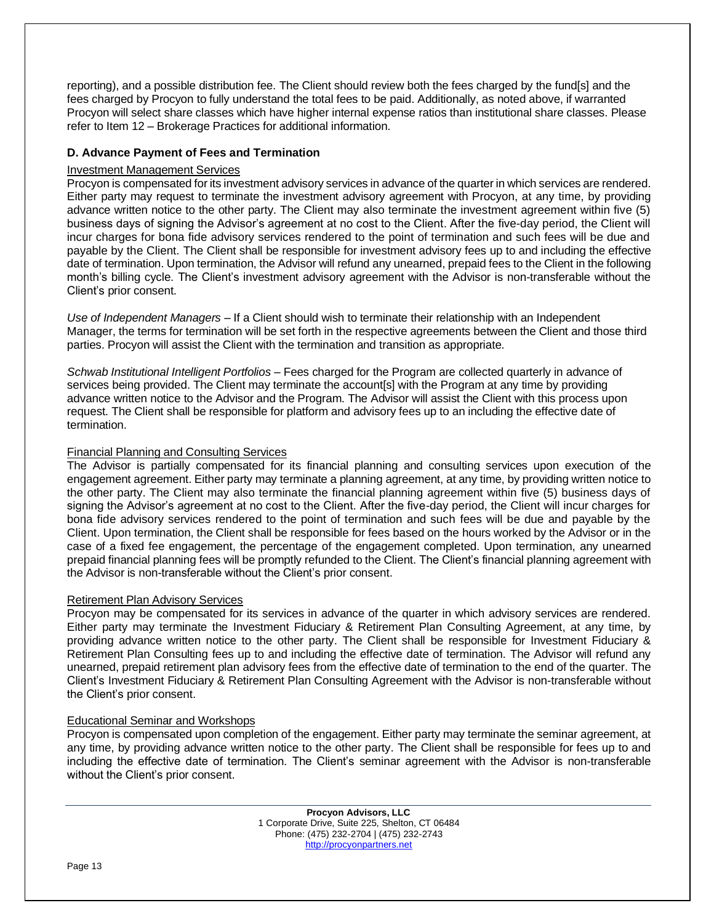reporting), and a possible distribution fee. The Client should review both the fees charged by the fund[s] and the fees charged by Procyon to fully understand the total fees to be paid. Additionally, as noted above, if warranted Procyon will select share classes which have higher internal expense ratios than institutional share classes. Please refer to Item 12 – Brokerage Practices for additional information.

# **D. Advance Payment of Fees and Termination**

# Investment Management Services

Procyon is compensated for its investment advisory services in advance of the quarter in which services are rendered. Either party may request to terminate the investment advisory agreement with Procyon, at any time, by providing advance written notice to the other party. The Client may also terminate the investment agreement within five (5) business days of signing the Advisor's agreement at no cost to the Client. After the five-day period, the Client will incur charges for bona fide advisory services rendered to the point of termination and such fees will be due and payable by the Client. The Client shall be responsible for investment advisory fees up to and including the effective date of termination. Upon termination, the Advisor will refund any unearned, prepaid fees to the Client in the following month's billing cycle. The Client's investment advisory agreement with the Advisor is non-transferable without the Client's prior consent.

*Use of Independent Managers* – If a Client should wish to terminate their relationship with an Independent Manager, the terms for termination will be set forth in the respective agreements between the Client and those third parties. Procyon will assist the Client with the termination and transition as appropriate.

*Schwab Institutional Intelligent Portfolios* – Fees charged for the Program are collected quarterly in advance of services being provided. The Client may terminate the account[s] with the Program at any time by providing advance written notice to the Advisor and the Program. The Advisor will assist the Client with this process upon request. The Client shall be responsible for platform and advisory fees up to an including the effective date of termination.

# Financial Planning and Consulting Services

The Advisor is partially compensated for its financial planning and consulting services upon execution of the engagement agreement. Either party may terminate a planning agreement, at any time, by providing written notice to the other party. The Client may also terminate the financial planning agreement within five (5) business days of signing the Advisor's agreement at no cost to the Client. After the five-day period, the Client will incur charges for bona fide advisory services rendered to the point of termination and such fees will be due and payable by the Client. Upon termination, the Client shall be responsible for fees based on the hours worked by the Advisor or in the case of a fixed fee engagement, the percentage of the engagement completed. Upon termination, any unearned prepaid financial planning fees will be promptly refunded to the Client. The Client's financial planning agreement with the Advisor is non-transferable without the Client's prior consent.

# Retirement Plan Advisory Services

Procyon may be compensated for its services in advance of the quarter in which advisory services are rendered. Either party may terminate the Investment Fiduciary & Retirement Plan Consulting Agreement, at any time, by providing advance written notice to the other party. The Client shall be responsible for Investment Fiduciary & Retirement Plan Consulting fees up to and including the effective date of termination. The Advisor will refund any unearned, prepaid retirement plan advisory fees from the effective date of termination to the end of the quarter. The Client's Investment Fiduciary & Retirement Plan Consulting Agreement with the Advisor is non-transferable without the Client's prior consent.

# Educational Seminar and Workshops

Procyon is compensated upon completion of the engagement. Either party may terminate the seminar agreement, at any time, by providing advance written notice to the other party. The Client shall be responsible for fees up to and including the effective date of termination. The Client's seminar agreement with the Advisor is non-transferable without the Client's prior consent.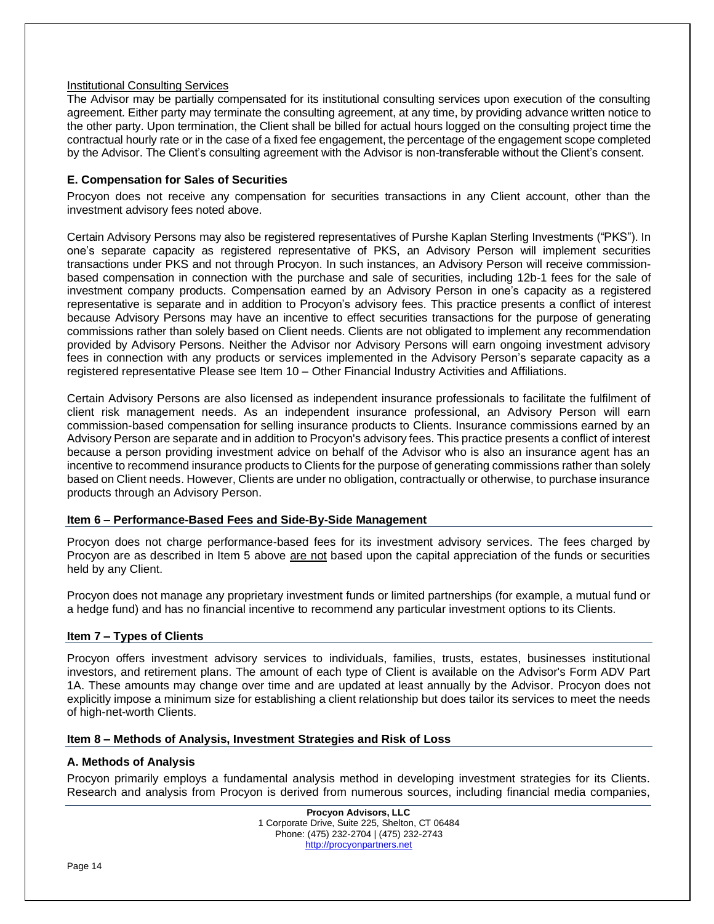# Institutional Consulting Services

The Advisor may be partially compensated for its institutional consulting services upon execution of the consulting agreement. Either party may terminate the consulting agreement, at any time, by providing advance written notice to the other party. Upon termination, the Client shall be billed for actual hours logged on the consulting project time the contractual hourly rate or in the case of a fixed fee engagement, the percentage of the engagement scope completed by the Advisor. The Client's consulting agreement with the Advisor is non-transferable without the Client's consent.

# **E. Compensation for Sales of Securities**

Procyon does not receive any compensation for securities transactions in any Client account, other than the investment advisory fees noted above.

Certain Advisory Persons may also be registered representatives of Purshe Kaplan Sterling Investments ("PKS"). In one's separate capacity as registered representative of PKS, an Advisory Person will implement securities transactions under PKS and not through Procyon. In such instances, an Advisory Person will receive commissionbased compensation in connection with the purchase and sale of securities, including 12b-1 fees for the sale of investment company products. Compensation earned by an Advisory Person in one's capacity as a registered representative is separate and in addition to Procyon's advisory fees. This practice presents a conflict of interest because Advisory Persons may have an incentive to effect securities transactions for the purpose of generating commissions rather than solely based on Client needs. Clients are not obligated to implement any recommendation provided by Advisory Persons. Neither the Advisor nor Advisory Persons will earn ongoing investment advisory fees in connection with any products or services implemented in the Advisory Person's separate capacity as a registered representative Please see Item 10 – Other Financial Industry Activities and Affiliations.

Certain Advisory Persons are also licensed as independent insurance professionals to facilitate the fulfilment of client risk management needs. As an independent insurance professional, an Advisory Person will earn commission-based compensation for selling insurance products to Clients. Insurance commissions earned by an Advisory Person are separate and in addition to Procyon's advisory fees. This practice presents a conflict of interest because a person providing investment advice on behalf of the Advisor who is also an insurance agent has an incentive to recommend insurance products to Clients for the purpose of generating commissions rather than solely based on Client needs. However, Clients are under no obligation, contractually or otherwise, to purchase insurance products through an Advisory Person.

# **Item 6 – Performance-Based Fees and Side-By-Side Management**

Procyon does not charge performance-based fees for its investment advisory services. The fees charged by Procyon are as described in Item 5 above are not based upon the capital appreciation of the funds or securities held by any Client.

Procyon does not manage any proprietary investment funds or limited partnerships (for example, a mutual fund or a hedge fund) and has no financial incentive to recommend any particular investment options to its Clients.

# **Item 7 – Types of Clients**

Procyon offers investment advisory services to individuals, families, trusts, estates, businesses institutional investors, and retirement plans. The amount of each type of Client is available on the Advisor's Form ADV Part 1A. These amounts may change over time and are updated at least annually by the Advisor. Procyon does not explicitly impose a minimum size for establishing a client relationship but does tailor its services to meet the needs of high-net-worth Clients.

#### **Item 8 – Methods of Analysis, Investment Strategies and Risk of Loss**

# **A. Methods of Analysis**

Procyon primarily employs a fundamental analysis method in developing investment strategies for its Clients. Research and analysis from Procyon is derived from numerous sources, including financial media companies,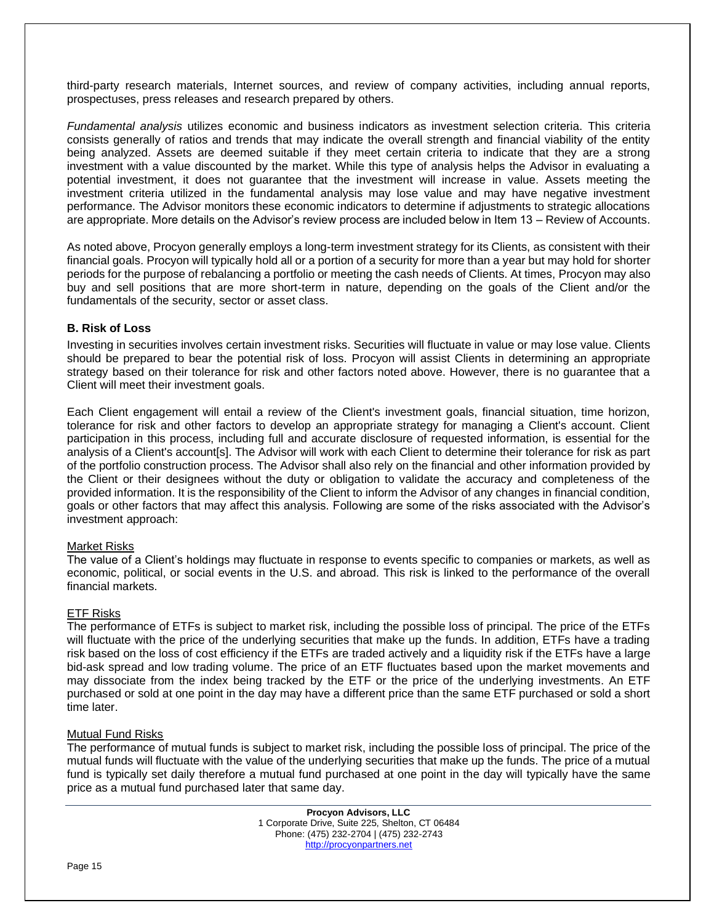third-party research materials, Internet sources, and review of company activities, including annual reports, prospectuses, press releases and research prepared by others.

*Fundamental analysis* utilizes economic and business indicators as investment selection criteria. This criteria consists generally of ratios and trends that may indicate the overall strength and financial viability of the entity being analyzed. Assets are deemed suitable if they meet certain criteria to indicate that they are a strong investment with a value discounted by the market. While this type of analysis helps the Advisor in evaluating a potential investment, it does not guarantee that the investment will increase in value. Assets meeting the investment criteria utilized in the fundamental analysis may lose value and may have negative investment performance. The Advisor monitors these economic indicators to determine if adjustments to strategic allocations are appropriate. More details on the Advisor's review process are included below in Item 13 – Review of Accounts.

As noted above, Procyon generally employs a long-term investment strategy for its Clients, as consistent with their financial goals. Procyon will typically hold all or a portion of a security for more than a year but may hold for shorter periods for the purpose of rebalancing a portfolio or meeting the cash needs of Clients. At times, Procyon may also buy and sell positions that are more short-term in nature, depending on the goals of the Client and/or the fundamentals of the security, sector or asset class.

# **B. Risk of Loss**

Investing in securities involves certain investment risks. Securities will fluctuate in value or may lose value. Clients should be prepared to bear the potential risk of loss. Procyon will assist Clients in determining an appropriate strategy based on their tolerance for risk and other factors noted above. However, there is no guarantee that a Client will meet their investment goals.

Each Client engagement will entail a review of the Client's investment goals, financial situation, time horizon, tolerance for risk and other factors to develop an appropriate strategy for managing a Client's account. Client participation in this process, including full and accurate disclosure of requested information, is essential for the analysis of a Client's account[s]. The Advisor will work with each Client to determine their tolerance for risk as part of the portfolio construction process. The Advisor shall also rely on the financial and other information provided by the Client or their designees without the duty or obligation to validate the accuracy and completeness of the provided information. It is the responsibility of the Client to inform the Advisor of any changes in financial condition, goals or other factors that may affect this analysis. Following are some of the risks associated with the Advisor's investment approach:

# Market Risks

The value of a Client's holdings may fluctuate in response to events specific to companies or markets, as well as economic, political, or social events in the U.S. and abroad. This risk is linked to the performance of the overall financial markets.

# ETF Risks

The performance of ETFs is subject to market risk, including the possible loss of principal. The price of the ETFs will fluctuate with the price of the underlying securities that make up the funds. In addition, ETFs have a trading risk based on the loss of cost efficiency if the ETFs are traded actively and a liquidity risk if the ETFs have a large bid-ask spread and low trading volume. The price of an ETF fluctuates based upon the market movements and may dissociate from the index being tracked by the ETF or the price of the underlying investments. An ETF purchased or sold at one point in the day may have a different price than the same ETF purchased or sold a short time later.

# Mutual Fund Risks

The performance of mutual funds is subject to market risk, including the possible loss of principal. The price of the mutual funds will fluctuate with the value of the underlying securities that make up the funds. The price of a mutual fund is typically set daily therefore a mutual fund purchased at one point in the day will typically have the same price as a mutual fund purchased later that same day.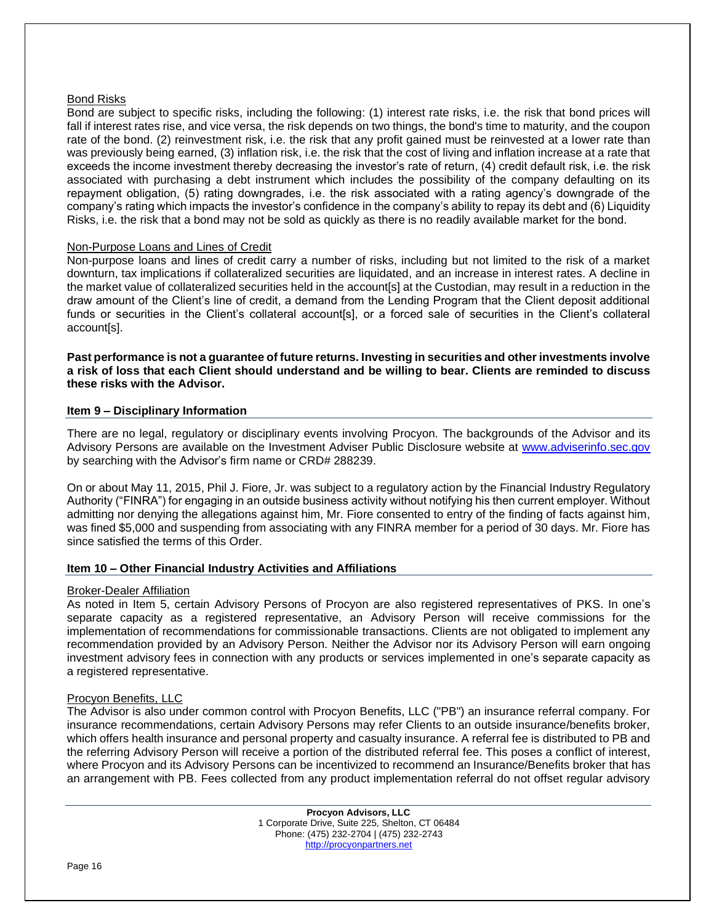# Bond Risks

Bond are subject to specific risks, including the following: (1) interest rate risks, i.e. the risk that bond prices will fall if interest rates rise, and vice versa, the risk depends on two things, the bond's time to maturity, and the coupon rate of the bond. (2) reinvestment risk, i.e. the risk that any profit gained must be reinvested at a lower rate than was previously being earned, (3) inflation risk, i.e. the risk that the cost of living and inflation increase at a rate that exceeds the income investment thereby decreasing the investor's rate of return, (4) credit default risk, i.e. the risk associated with purchasing a debt instrument which includes the possibility of the company defaulting on its repayment obligation, (5) rating downgrades, i.e. the risk associated with a rating agency's downgrade of the company's rating which impacts the investor's confidence in the company's ability to repay its debt and (6) Liquidity Risks, i.e. the risk that a bond may not be sold as quickly as there is no readily available market for the bond.

# Non-Purpose Loans and Lines of Credit

Non-purpose loans and lines of credit carry a number of risks, including but not limited to the risk of a market downturn, tax implications if collateralized securities are liquidated, and an increase in interest rates. A decline in the market value of collateralized securities held in the account[s] at the Custodian, may result in a reduction in the draw amount of the Client's line of credit, a demand from the Lending Program that the Client deposit additional funds or securities in the Client's collateral account[s], or a forced sale of securities in the Client's collateral account[s].

**Past performance is not a guarantee of future returns. Investing in securities and other investments involve a risk of loss that each Client should understand and be willing to bear. Clients are reminded to discuss these risks with the Advisor.**

# **Item 9 – Disciplinary Information**

There are no legal, regulatory or disciplinary events involving Procyon. The backgrounds of the Advisor and its Advisory Persons are available on the Investment Adviser Public Disclosure website at [www.adviserinfo.sec.gov](http://www.adviserinfo.sec.gov/) by searching with the Advisor's firm name or CRD# 288239.

On or about May 11, 2015, Phil J. Fiore, Jr. was subject to a regulatory action by the Financial Industry Regulatory Authority ("FINRA") for engaging in an outside business activity without notifying his then current employer. Without admitting nor denying the allegations against him, Mr. Fiore consented to entry of the finding of facts against him, was fined \$5,000 and suspending from associating with any FINRA member for a period of 30 days. Mr. Fiore has since satisfied the terms of this Order.

# **Item 10 – Other Financial Industry Activities and Affiliations**

# Broker-Dealer Affiliation

As noted in Item 5, certain Advisory Persons of Procyon are also registered representatives of PKS. In one's separate capacity as a registered representative, an Advisory Person will receive commissions for the implementation of recommendations for commissionable transactions. Clients are not obligated to implement any recommendation provided by an Advisory Person. Neither the Advisor nor its Advisory Person will earn ongoing investment advisory fees in connection with any products or services implemented in one's separate capacity as a registered representative.

# Procyon Benefits, LLC

The Advisor is also under common control with Procyon Benefits, LLC ("PB") an insurance referral company. For insurance recommendations, certain Advisory Persons may refer Clients to an outside insurance/benefits broker, which offers health insurance and personal property and casualty insurance. A referral fee is distributed to PB and the referring Advisory Person will receive a portion of the distributed referral fee. This poses a conflict of interest, where Procyon and its Advisory Persons can be incentivized to recommend an Insurance/Benefits broker that has an arrangement with PB. Fees collected from any product implementation referral do not offset regular advisory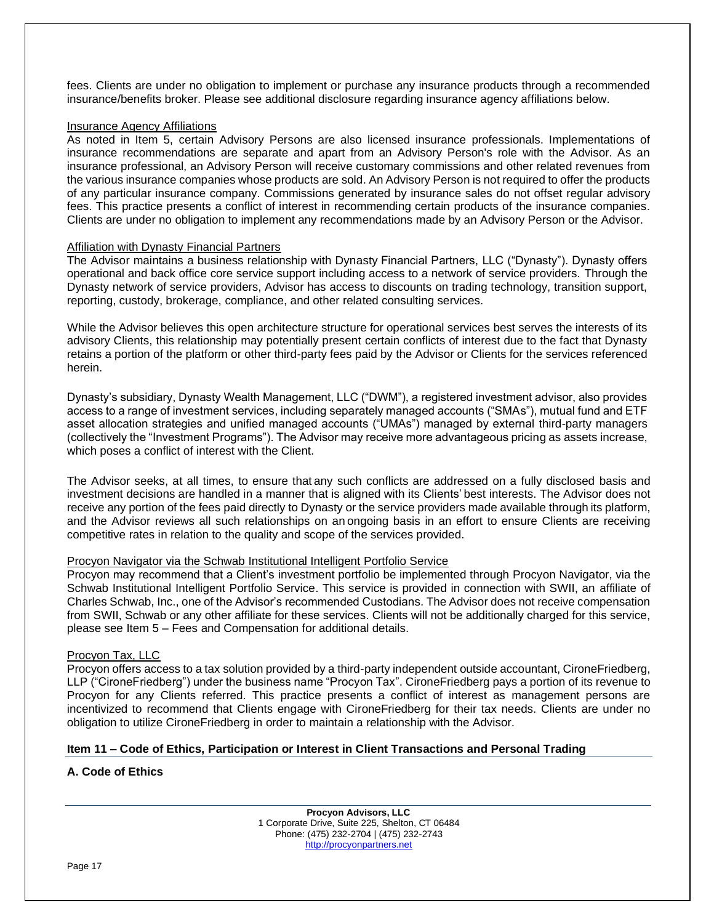fees. Clients are under no obligation to implement or purchase any insurance products through a recommended insurance/benefits broker. Please see additional disclosure regarding insurance agency affiliations below.

#### Insurance Agency Affiliations

As noted in Item 5, certain Advisory Persons are also licensed insurance professionals. Implementations of insurance recommendations are separate and apart from an Advisory Person's role with the Advisor. As an insurance professional, an Advisory Person will receive customary commissions and other related revenues from the various insurance companies whose products are sold. An Advisory Person is not required to offer the products of any particular insurance company. Commissions generated by insurance sales do not offset regular advisory fees. This practice presents a conflict of interest in recommending certain products of the insurance companies. Clients are under no obligation to implement any recommendations made by an Advisory Person or the Advisor.

#### Affiliation with Dynasty Financial Partners

The Advisor maintains a business relationship with Dynasty Financial Partners, LLC ("Dynasty"). Dynasty offers operational and back office core service support including access to a network of service providers. Through the Dynasty network of service providers, Advisor has access to discounts on trading technology, transition support, reporting, custody, brokerage, compliance, and other related consulting services.

While the Advisor believes this open architecture structure for operational services best serves the interests of its advisory Clients, this relationship may potentially present certain conflicts of interest due to the fact that Dynasty retains a portion of the platform or other third-party fees paid by the Advisor or Clients for the services referenced herein.

Dynasty's subsidiary, Dynasty Wealth Management, LLC ("DWM"), a registered investment advisor, also provides access to a range of investment services, including separately managed accounts ("SMAs"), mutual fund and ETF asset allocation strategies and unified managed accounts ("UMAs") managed by external third-party managers (collectively the "Investment Programs"). The Advisor may receive more advantageous pricing as assets increase, which poses a conflict of interest with the Client.

The Advisor seeks, at all times, to ensure thatany such conflicts are addressed on a fully disclosed basis and investment decisions are handled in a manner that is aligned with its Clients'best interests. The Advisor does not receive any portion of the fees paid directly to Dynasty or the service providers made available through its platform, and the Advisor reviews all such relationships on anongoing basis in an effort to ensure Clients are receiving competitive rates in relation to the quality and scope of the services provided.

# Procyon Navigator via the Schwab Institutional Intelligent Portfolio Service

Procyon may recommend that a Client's investment portfolio be implemented through Procyon Navigator, via the Schwab Institutional Intelligent Portfolio Service. This service is provided in connection with SWII, an affiliate of Charles Schwab, Inc., one of the Advisor's recommended Custodians. The Advisor does not receive compensation from SWII, Schwab or any other affiliate for these services. Clients will not be additionally charged for this service, please see Item 5 – Fees and Compensation for additional details.

# Procyon Tax, LLC

Procyon offers access to a tax solution provided by a third-party independent outside accountant, CironeFriedberg, LLP ("CironeFriedberg") under the business name "Procyon Tax". CironeFriedberg pays a portion of its revenue to Procyon for any Clients referred. This practice presents a conflict of interest as management persons are incentivized to recommend that Clients engage with CironeFriedberg for their tax needs. Clients are under no obligation to utilize CironeFriedberg in order to maintain a relationship with the Advisor.

# **Item 11 – Code of Ethics, Participation or Interest in Client Transactions and Personal Trading**

# **A. Code of Ethics**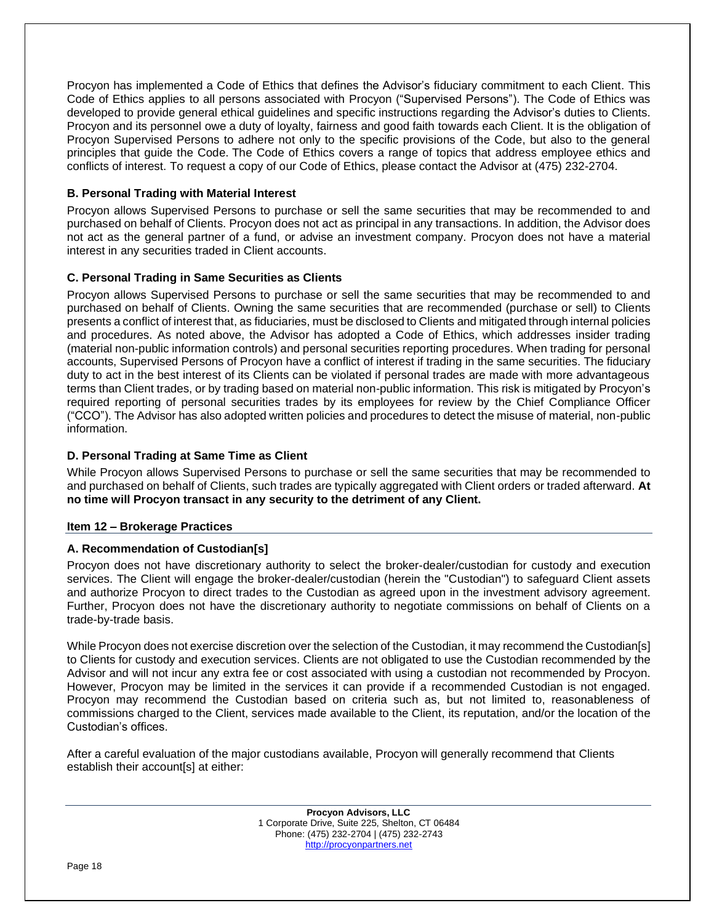Procyon has implemented a Code of Ethics that defines the Advisor's fiduciary commitment to each Client. This Code of Ethics applies to all persons associated with Procyon ("Supervised Persons"). The Code of Ethics was developed to provide general ethical guidelines and specific instructions regarding the Advisor's duties to Clients. Procyon and its personnel owe a duty of loyalty, fairness and good faith towards each Client. It is the obligation of Procyon Supervised Persons to adhere not only to the specific provisions of the Code, but also to the general principles that guide the Code. The Code of Ethics covers a range of topics that address employee ethics and conflicts of interest. To request a copy of our Code of Ethics, please contact the Advisor at (475) 232-2704.

# **B. Personal Trading with Material Interest**

Procyon allows Supervised Persons to purchase or sell the same securities that may be recommended to and purchased on behalf of Clients. Procyon does not act as principal in any transactions. In addition, the Advisor does not act as the general partner of a fund, or advise an investment company. Procyon does not have a material interest in any securities traded in Client accounts.

# **C. Personal Trading in Same Securities as Clients**

Procyon allows Supervised Persons to purchase or sell the same securities that may be recommended to and purchased on behalf of Clients. Owning the same securities that are recommended (purchase or sell) to Clients presents a conflict of interest that, as fiduciaries, must be disclosed to Clients and mitigated through internal policies and procedures. As noted above, the Advisor has adopted a Code of Ethics, which addresses insider trading (material non-public information controls) and personal securities reporting procedures. When trading for personal accounts, Supervised Persons of Procyon have a conflict of interest if trading in the same securities. The fiduciary duty to act in the best interest of its Clients can be violated if personal trades are made with more advantageous terms than Client trades, or by trading based on material non-public information. This risk is mitigated by Procyon's required reporting of personal securities trades by its employees for review by the Chief Compliance Officer ("CCO"). The Advisor has also adopted written policies and procedures to detect the misuse of material, non-public information.

# **D. Personal Trading at Same Time as Client**

While Procyon allows Supervised Persons to purchase or sell the same securities that may be recommended to and purchased on behalf of Clients, such trades are typically aggregated with Client orders or traded afterward. **At no time will Procyon transact in any security to the detriment of any Client.** 

# **Item 12 – Brokerage Practices**

# **A. Recommendation of Custodian[s]**

Procyon does not have discretionary authority to select the broker-dealer/custodian for custody and execution services. The Client will engage the broker-dealer/custodian (herein the "Custodian") to safeguard Client assets and authorize Procyon to direct trades to the Custodian as agreed upon in the investment advisory agreement. Further, Procyon does not have the discretionary authority to negotiate commissions on behalf of Clients on a trade-by-trade basis.

While Procyon does not exercise discretion over the selection of the Custodian, it may recommend the Custodian[s] to Clients for custody and execution services. Clients are not obligated to use the Custodian recommended by the Advisor and will not incur any extra fee or cost associated with using a custodian not recommended by Procyon. However, Procyon may be limited in the services it can provide if a recommended Custodian is not engaged. Procyon may recommend the Custodian based on criteria such as, but not limited to, reasonableness of commissions charged to the Client, services made available to the Client, its reputation, and/or the location of the Custodian's offices.

After a careful evaluation of the major custodians available, Procyon will generally recommend that Clients establish their account[s] at either:

> **Procyon Advisors, LLC** 1 Corporate Drive, Suite 225, Shelton, CT 06484 Phone: (475) 232-2704 | (475) 232-2743 [http://procyonpartners.net](http://procyonpartners.net/)

Page 18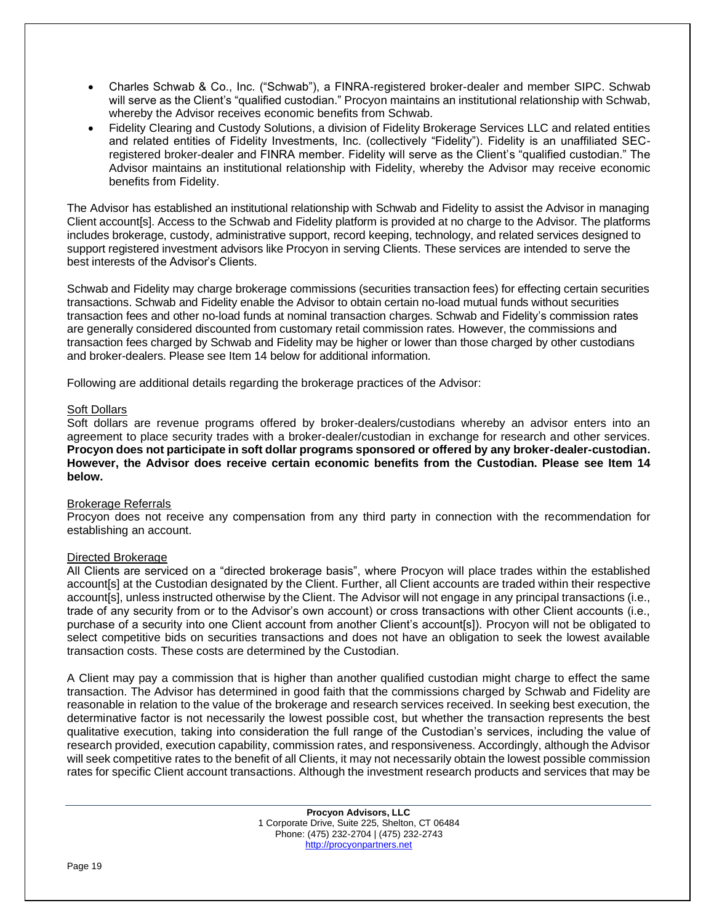- Charles Schwab & Co., Inc. ("Schwab"), a FINRA-registered broker-dealer and member SIPC. Schwab will serve as the Client's "qualified custodian." Procyon maintains an institutional relationship with Schwab, whereby the Advisor receives economic benefits from Schwab.
- Fidelity Clearing and Custody Solutions, a division of Fidelity Brokerage Services LLC and related entities and related entities of Fidelity Investments, Inc. (collectively "Fidelity"). Fidelity is an unaffiliated SECregistered broker-dealer and FINRA member. Fidelity will serve as the Client's "qualified custodian." The Advisor maintains an institutional relationship with Fidelity, whereby the Advisor may receive economic benefits from Fidelity.

The Advisor has established an institutional relationship with Schwab and Fidelity to assist the Advisor in managing Client account[s]. Access to the Schwab and Fidelity platform is provided at no charge to the Advisor. The platforms includes brokerage, custody, administrative support, record keeping, technology, and related services designed to support registered investment advisors like Procyon in serving Clients. These services are intended to serve the best interests of the Advisor's Clients.

Schwab and Fidelity may charge brokerage commissions (securities transaction fees) for effecting certain securities transactions. Schwab and Fidelity enable the Advisor to obtain certain no-load mutual funds without securities transaction fees and other no-load funds at nominal transaction charges. Schwab and Fidelity's commission rates are generally considered discounted from customary retail commission rates. However, the commissions and transaction fees charged by Schwab and Fidelity may be higher or lower than those charged by other custodians and broker-dealers. Please see Item 14 below for additional information.

Following are additional details regarding the brokerage practices of the Advisor:

#### Soft Dollars

Soft dollars are revenue programs offered by broker-dealers/custodians whereby an advisor enters into an agreement to place security trades with a broker-dealer/custodian in exchange for research and other services. **Procyon does not participate in soft dollar programs sponsored or offered by any broker-dealer-custodian. However, the Advisor does receive certain economic benefits from the Custodian. Please see Item 14 below.**

# Brokerage Referrals

Procyon does not receive any compensation from any third party in connection with the recommendation for establishing an account.

# Directed Brokerage

All Clients are serviced on a "directed brokerage basis", where Procyon will place trades within the established account[s] at the Custodian designated by the Client. Further, all Client accounts are traded within their respective account[s], unless instructed otherwise by the Client. The Advisor will not engage in any principal transactions (i.e., trade of any security from or to the Advisor's own account) or cross transactions with other Client accounts (i.e., purchase of a security into one Client account from another Client's account[s]). Procyon will not be obligated to select competitive bids on securities transactions and does not have an obligation to seek the lowest available transaction costs. These costs are determined by the Custodian.

A Client may pay a commission that is higher than another qualified custodian might charge to effect the same transaction. The Advisor has determined in good faith that the commissions charged by Schwab and Fidelity are reasonable in relation to the value of the brokerage and research services received. In seeking best execution, the determinative factor is not necessarily the lowest possible cost, but whether the transaction represents the best qualitative execution, taking into consideration the full range of the Custodian's services, including the value of research provided, execution capability, commission rates, and responsiveness. Accordingly, although the Advisor will seek competitive rates to the benefit of all Clients, it may not necessarily obtain the lowest possible commission rates for specific Client account transactions. Although the investment research products and services that may be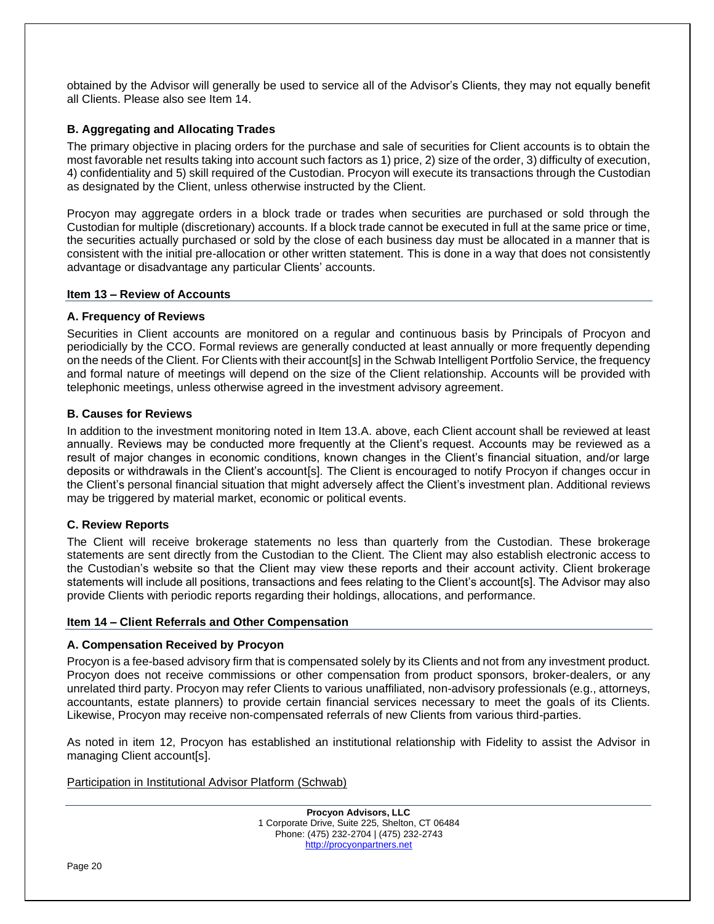obtained by the Advisor will generally be used to service all of the Advisor's Clients, they may not equally benefit all Clients. Please also see Item 14.

# **B. Aggregating and Allocating Trades**

The primary objective in placing orders for the purchase and sale of securities for Client accounts is to obtain the most favorable net results taking into account such factors as 1) price, 2) size of the order, 3) difficulty of execution, 4) confidentiality and 5) skill required of the Custodian. Procyon will execute its transactions through the Custodian as designated by the Client, unless otherwise instructed by the Client.

Procyon may aggregate orders in a block trade or trades when securities are purchased or sold through the Custodian for multiple (discretionary) accounts. If a block trade cannot be executed in full at the same price or time, the securities actually purchased or sold by the close of each business day must be allocated in a manner that is consistent with the initial pre-allocation or other written statement. This is done in a way that does not consistently advantage or disadvantage any particular Clients' accounts.

#### **Item 13 – Review of Accounts**

#### **A. Frequency of Reviews**

Securities in Client accounts are monitored on a regular and continuous basis by Principals of Procyon and periodicially by the CCO. Formal reviews are generally conducted at least annually or more frequently depending on the needs of the Client. For Clients with their account[s] in the Schwab Intelligent Portfolio Service, the frequency and formal nature of meetings will depend on the size of the Client relationship. Accounts will be provided with telephonic meetings, unless otherwise agreed in the investment advisory agreement.

# **B. Causes for Reviews**

In addition to the investment monitoring noted in Item 13.A. above, each Client account shall be reviewed at least annually. Reviews may be conducted more frequently at the Client's request. Accounts may be reviewed as a result of major changes in economic conditions, known changes in the Client's financial situation, and/or large deposits or withdrawals in the Client's account[s]. The Client is encouraged to notify Procyon if changes occur in the Client's personal financial situation that might adversely affect the Client's investment plan. Additional reviews may be triggered by material market, economic or political events.

# **C. Review Reports**

The Client will receive brokerage statements no less than quarterly from the Custodian. These brokerage statements are sent directly from the Custodian to the Client. The Client may also establish electronic access to the Custodian's website so that the Client may view these reports and their account activity. Client brokerage statements will include all positions, transactions and fees relating to the Client's account[s]. The Advisor may also provide Clients with periodic reports regarding their holdings, allocations, and performance.

#### **Item 14 – Client Referrals and Other Compensation**

#### **A. Compensation Received by Procyon**

Procyon is a fee-based advisory firm that is compensated solely by its Clients and not from any investment product. Procyon does not receive commissions or other compensation from product sponsors, broker-dealers, or any unrelated third party. Procyon may refer Clients to various unaffiliated, non-advisory professionals (e.g., attorneys, accountants, estate planners) to provide certain financial services necessary to meet the goals of its Clients. Likewise, Procyon may receive non-compensated referrals of new Clients from various third-parties.

As noted in item 12, Procyon has established an institutional relationship with Fidelity to assist the Advisor in managing Client account[s].

Participation in Institutional Advisor Platform (Schwab)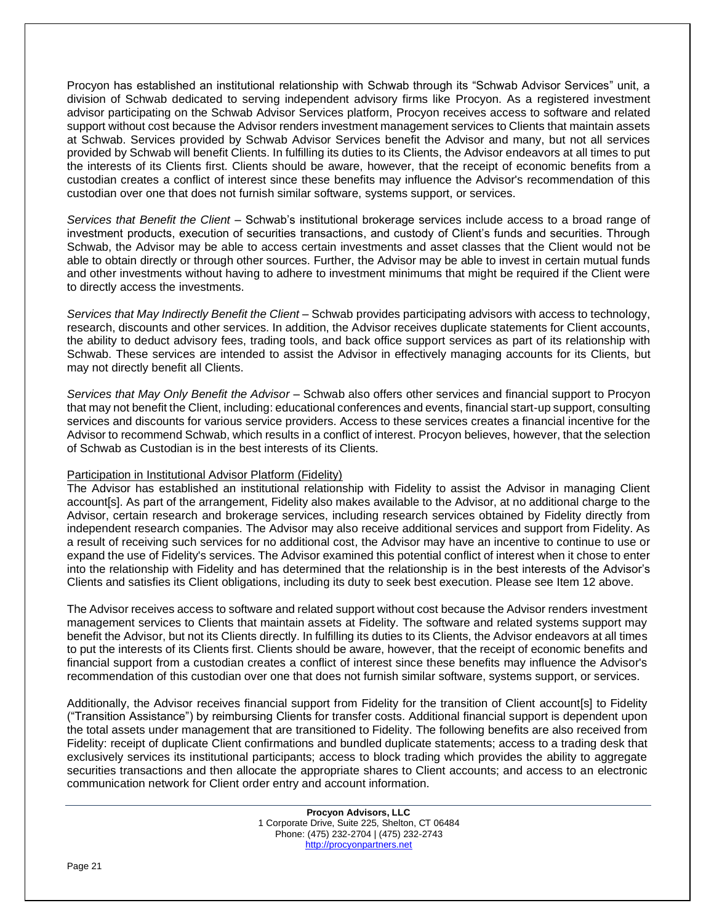Procyon has established an institutional relationship with Schwab through its "Schwab Advisor Services" unit, a division of Schwab dedicated to serving independent advisory firms like Procyon. As a registered investment advisor participating on the Schwab Advisor Services platform, Procyon receives access to software and related support without cost because the Advisor renders investment management services to Clients that maintain assets at Schwab. Services provided by Schwab Advisor Services benefit the Advisor and many, but not all services provided by Schwab will benefit Clients. In fulfilling its duties to its Clients, the Advisor endeavors at all times to put the interests of its Clients first. Clients should be aware, however, that the receipt of economic benefits from a custodian creates a conflict of interest since these benefits may influence the Advisor's recommendation of this custodian over one that does not furnish similar software, systems support, or services.

*Services that Benefit the Client* – Schwab's institutional brokerage services include access to a broad range of investment products, execution of securities transactions, and custody of Client's funds and securities. Through Schwab, the Advisor may be able to access certain investments and asset classes that the Client would not be able to obtain directly or through other sources. Further, the Advisor may be able to invest in certain mutual funds and other investments without having to adhere to investment minimums that might be required if the Client were to directly access the investments.

*Services that May Indirectly Benefit the Client* – Schwab provides participating advisors with access to technology, research, discounts and other services. In addition, the Advisor receives duplicate statements for Client accounts, the ability to deduct advisory fees, trading tools, and back office support services as part of its relationship with Schwab. These services are intended to assist the Advisor in effectively managing accounts for its Clients, but may not directly benefit all Clients.

*Services that May Only Benefit the Advisor* – Schwab also offers other services and financial support to Procyon that may not benefit the Client, including: educational conferences and events, financial start-up support, consulting services and discounts for various service providers. Access to these services creates a financial incentive for the Advisor to recommend Schwab, which results in a conflict of interest. Procyon believes, however, that the selection of Schwab as Custodian is in the best interests of its Clients.

# Participation in Institutional Advisor Platform (Fidelity)

The Advisor has established an institutional relationship with Fidelity to assist the Advisor in managing Client account[s]. As part of the arrangement, Fidelity also makes available to the Advisor, at no additional charge to the Advisor, certain research and brokerage services, including research services obtained by Fidelity directly from independent research companies. The Advisor may also receive additional services and support from Fidelity. As a result of receiving such services for no additional cost, the Advisor may have an incentive to continue to use or expand the use of Fidelity's services. The Advisor examined this potential conflict of interest when it chose to enter into the relationship with Fidelity and has determined that the relationship is in the best interests of the Advisor's Clients and satisfies its Client obligations, including its duty to seek best execution. Please see Item 12 above.

The Advisor receives access to software and related support without cost because the Advisor renders investment management services to Clients that maintain assets at Fidelity. The software and related systems support may benefit the Advisor, but not its Clients directly. In fulfilling its duties to its Clients, the Advisor endeavors at all times to put the interests of its Clients first. Clients should be aware, however, that the receipt of economic benefits and financial support from a custodian creates a conflict of interest since these benefits may influence the Advisor's recommendation of this custodian over one that does not furnish similar software, systems support, or services.

Additionally, the Advisor receives financial support from Fidelity for the transition of Client account[s] to Fidelity ("Transition Assistance") by reimbursing Clients for transfer costs. Additional financial support is dependent upon the total assets under management that are transitioned to Fidelity. The following benefits are also received from Fidelity: receipt of duplicate Client confirmations and bundled duplicate statements; access to a trading desk that exclusively services its institutional participants; access to block trading which provides the ability to aggregate securities transactions and then allocate the appropriate shares to Client accounts; and access to an electronic communication network for Client order entry and account information.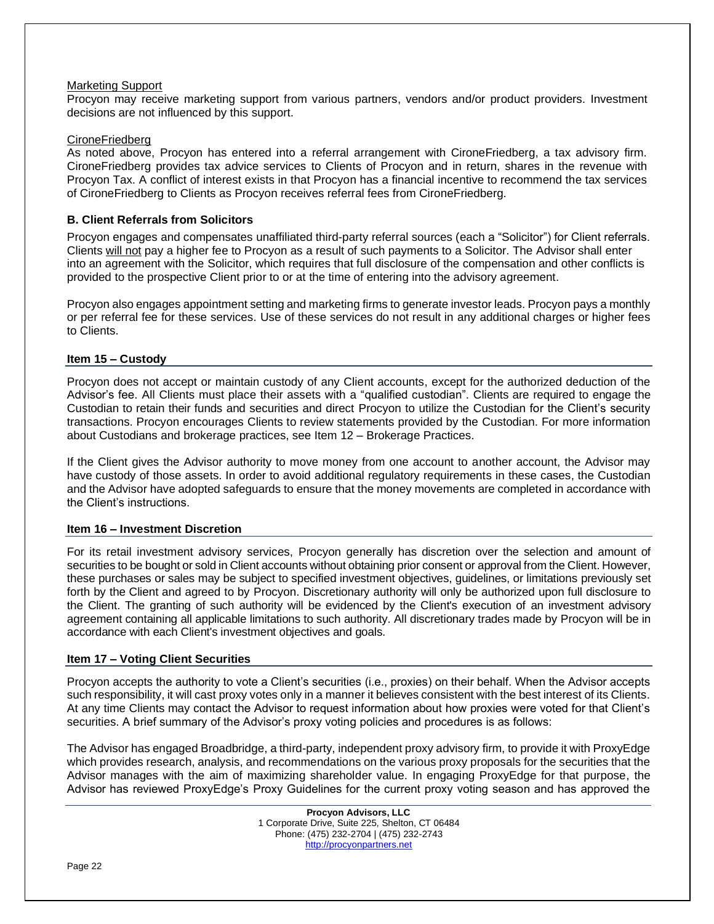#### Marketing Support

Procyon may receive marketing support from various partners, vendors and/or product providers. Investment decisions are not influenced by this support.

# CironeFriedberg

As noted above, Procyon has entered into a referral arrangement with CironeFriedberg, a tax advisory firm. CironeFriedberg provides tax advice services to Clients of Procyon and in return, shares in the revenue with Procyon Tax. A conflict of interest exists in that Procyon has a financial incentive to recommend the tax services of CironeFriedberg to Clients as Procyon receives referral fees from CironeFriedberg.

# **B. Client Referrals from Solicitors**

Procyon engages and compensates unaffiliated third-party referral sources (each a "Solicitor") for Client referrals. Clients will not pay a higher fee to Procyon as a result of such payments to a Solicitor. The Advisor shall enter into an agreement with the Solicitor, which requires that full disclosure of the compensation and other conflicts is provided to the prospective Client prior to or at the time of entering into the advisory agreement.

Procyon also engages appointment setting and marketing firms to generate investor leads. Procyon pays a monthly or per referral fee for these services. Use of these services do not result in any additional charges or higher fees to Clients.

# **Item 15 – Custody**

Procyon does not accept or maintain custody of any Client accounts, except for the authorized deduction of the Advisor's fee. All Clients must place their assets with a "qualified custodian". Clients are required to engage the Custodian to retain their funds and securities and direct Procyon to utilize the Custodian for the Client's security transactions. Procyon encourages Clients to review statements provided by the Custodian. For more information about Custodians and brokerage practices, see Item 12 – Brokerage Practices.

If the Client gives the Advisor authority to move money from one account to another account, the Advisor may have custody of those assets. In order to avoid additional regulatory requirements in these cases, the Custodian and the Advisor have adopted safeguards to ensure that the money movements are completed in accordance with the Client's instructions.

# **Item 16 – Investment Discretion**

For its retail investment advisory services, Procyon generally has discretion over the selection and amount of securities to be bought or sold in Client accounts without obtaining prior consent or approval from the Client. However, these purchases or sales may be subject to specified investment objectives, guidelines, or limitations previously set forth by the Client and agreed to by Procyon. Discretionary authority will only be authorized upon full disclosure to the Client. The granting of such authority will be evidenced by the Client's execution of an investment advisory agreement containing all applicable limitations to such authority. All discretionary trades made by Procyon will be in accordance with each Client's investment objectives and goals.

# **Item 17 – Voting Client Securities**

Procyon accepts the authority to vote a Client's securities (i.e., proxies) on their behalf. When the Advisor accepts such responsibility, it will cast proxy votes only in a manner it believes consistent with the best interest of its Clients. At any time Clients may contact the Advisor to request information about how proxies were voted for that Client's securities. A brief summary of the Advisor's proxy voting policies and procedures is as follows:

The Advisor has engaged Broadbridge, a third-party, independent proxy advisory firm, to provide it with ProxyEdge which provides research, analysis, and recommendations on the various proxy proposals for the securities that the Advisor manages with the aim of maximizing shareholder value. In engaging ProxyEdge for that purpose, the Advisor has reviewed ProxyEdge's Proxy Guidelines for the current proxy voting season and has approved the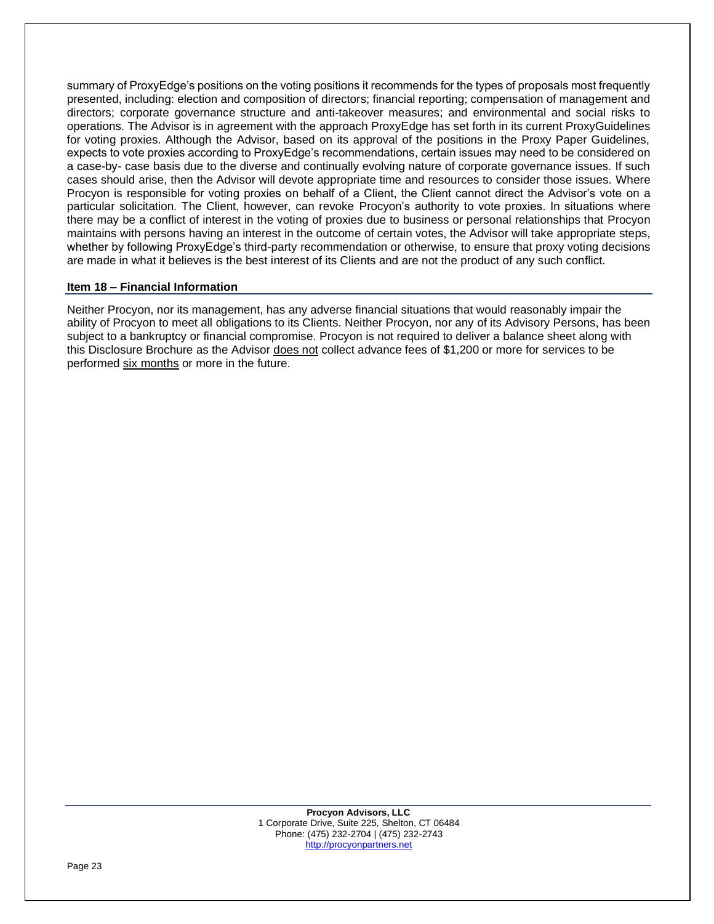summary of ProxyEdge's positions on the voting positions it recommends for the types of proposals most frequently presented, including: election and composition of directors; financial reporting; compensation of management and directors; corporate governance structure and anti-takeover measures; and environmental and social risks to operations. The Advisor is in agreement with the approach ProxyEdge has set forth in its current ProxyGuidelines for voting proxies. Although the Advisor, based on its approval of the positions in the Proxy Paper Guidelines, expects to vote proxies according to ProxyEdge's recommendations, certain issues may need to be considered on a case-by- case basis due to the diverse and continually evolving nature of corporate governance issues. If such cases should arise, then the Advisor will devote appropriate time and resources to consider those issues. Where Procyon is responsible for voting proxies on behalf of a Client, the Client cannot direct the Advisor's vote on a particular solicitation. The Client, however, can revoke Procyon's authority to vote proxies. In situations where there may be a conflict of interest in the voting of proxies due to business or personal relationships that Procyon maintains with persons having an interest in the outcome of certain votes, the Advisor will take appropriate steps, whether by following ProxyEdge's third-party recommendation or otherwise, to ensure that proxy voting decisions are made in what it believes is the best interest of its Clients and are not the product of any such conflict.

#### **Item 18 – Financial Information**

Neither Procyon, nor its management, has any adverse financial situations that would reasonably impair the ability of Procyon to meet all obligations to its Clients. Neither Procyon, nor any of its Advisory Persons, has been subject to a bankruptcy or financial compromise. Procyon is not required to deliver a balance sheet along with this Disclosure Brochure as the Advisor does not collect advance fees of \$1,200 or more for services to be performed six months or more in the future.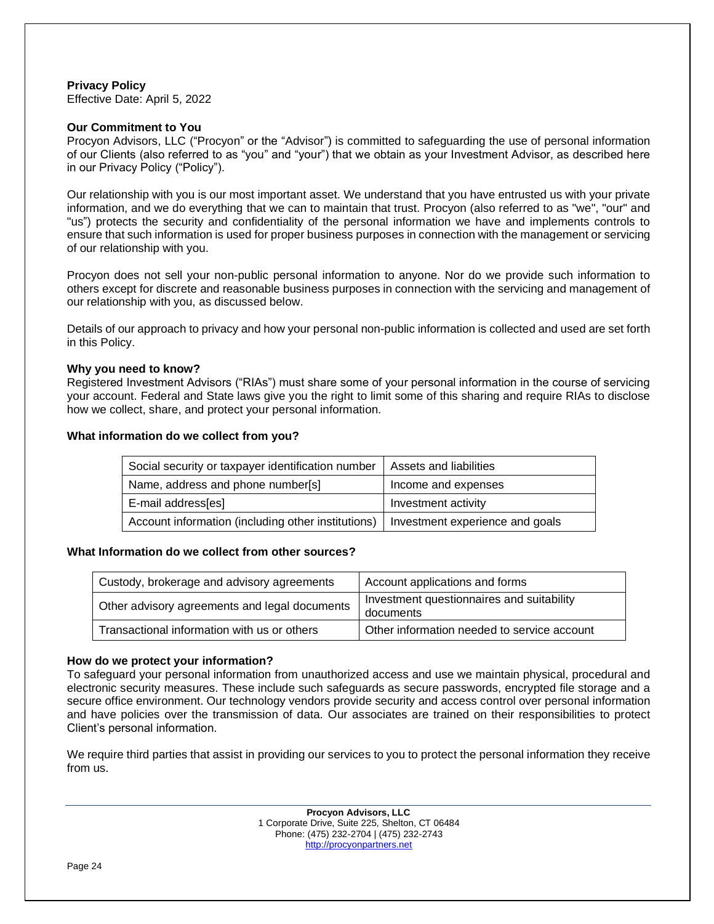# **Privacy Policy**

Effective Date: April 5, 2022

# **Our Commitment to You**

Procyon Advisors, LLC ("Procyon" or the "Advisor") is committed to safeguarding the use of personal information of our Clients (also referred to as "you" and "your") that we obtain as your Investment Advisor, as described here in our Privacy Policy ("Policy").

Our relationship with you is our most important asset. We understand that you have entrusted us with your private information, and we do everything that we can to maintain that trust. Procyon (also referred to as "we", "our" and "us") protects the security and confidentiality of the personal information we have and implements controls to ensure that such information is used for proper business purposes in connection with the management or servicing of our relationship with you.

Procyon does not sell your non-public personal information to anyone. Nor do we provide such information to others except for discrete and reasonable business purposes in connection with the servicing and management of our relationship with you, as discussed below.

Details of our approach to privacy and how your personal non-public information is collected and used are set forth in this Policy.

# **Why you need to know?**

Registered Investment Advisors ("RIAs") must share some of your personal information in the course of servicing your account. Federal and State laws give you the right to limit some of this sharing and require RIAs to disclose how we collect, share, and protect your personal information.

#### **What information do we collect from you?**

| Social security or taxpayer identification number  | Assets and liabilities          |  |
|----------------------------------------------------|---------------------------------|--|
| Name, address and phone number[s]                  | Income and expenses             |  |
| E-mail address[es]                                 | Investment activity             |  |
| Account information (including other institutions) | Investment experience and goals |  |

# **What Information do we collect from other sources?**

| Custody, brokerage and advisory agreements    | Account applications and forms                         |
|-----------------------------------------------|--------------------------------------------------------|
| Other advisory agreements and legal documents | Investment questionnaires and suitability<br>documents |
| Transactional information with us or others   | Other information needed to service account            |

# **How do we protect your information?**

To safeguard your personal information from unauthorized access and use we maintain physical, procedural and electronic security measures. These include such safeguards as secure passwords, encrypted file storage and a secure office environment. Our technology vendors provide security and access control over personal information and have policies over the transmission of data. Our associates are trained on their responsibilities to protect Client's personal information.

We require third parties that assist in providing our services to you to protect the personal information they receive from us.